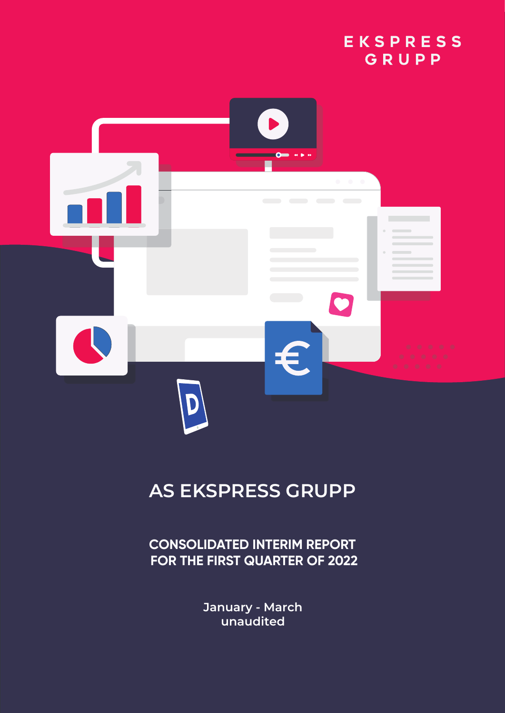



# **AS EKSPRESS GRUPP**

**CONSOLIDATED INTERIM REPORT FOR THE FIRST QUARTER OF 2022**

> **January - March unaudited**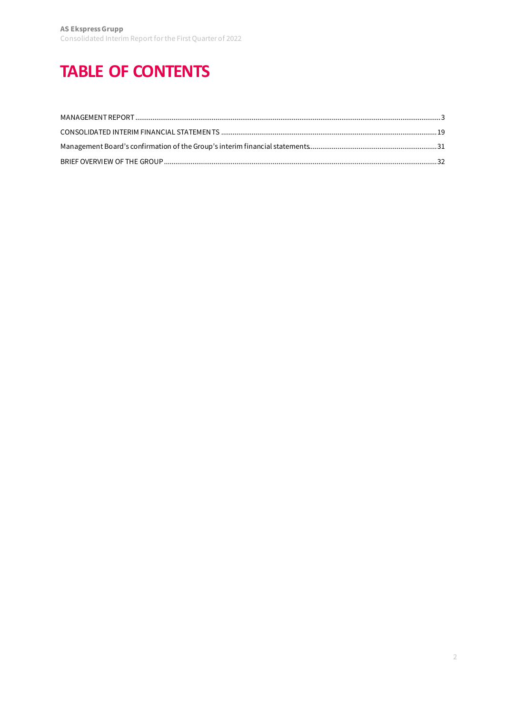# <span id="page-1-0"></span>**TABLE OF CONTENTS**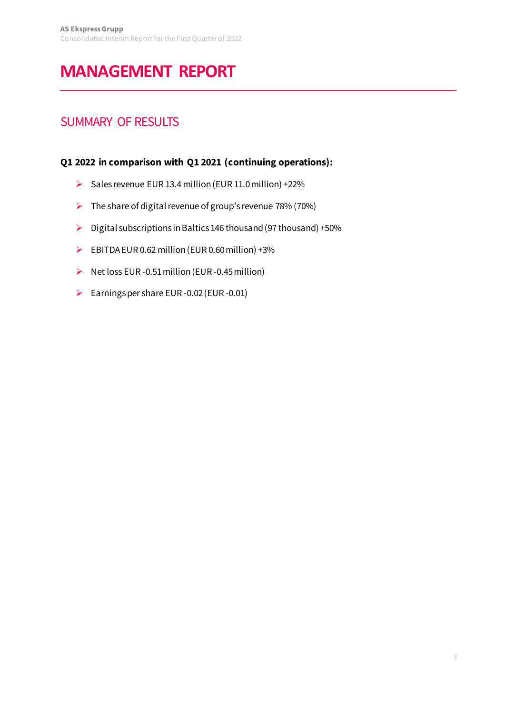# <span id="page-2-0"></span>**MANAGEMENT REPORT**

## SUMMARY OF RESULTS

### **Q1 2022 in comparison with Q1 2021 (continuing operations):**

- Sales revenue EUR 13.4 million (EUR 11.0 million) +22%
- $\triangleright$  The share of digital revenue of group's revenue 78% (70%)
- $\triangleright$  Digital subscriptions in Baltics 146 thousand (97 thousand) +50%
- EBITDA EUR 0.62 million (EUR 0.60 million) +3%
- $\triangleright$  Net loss EUR -0.51 million (EUR -0.45 million)
- Earnings per share EUR -0.02 (EUR -0.01)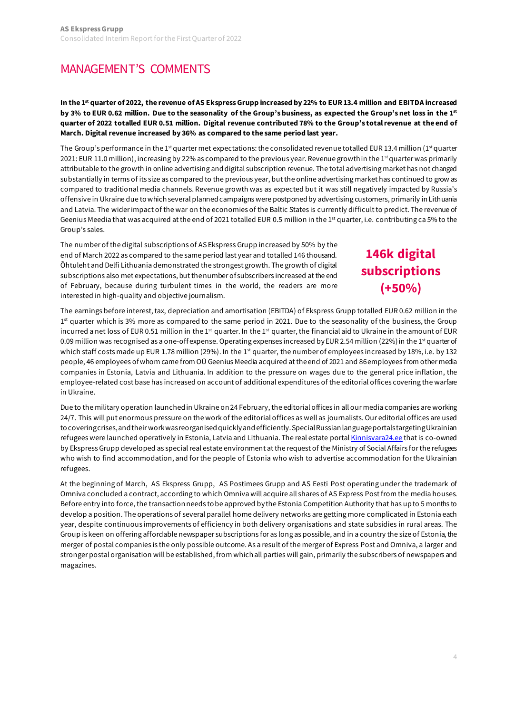## [MANAGEMENT'S COMMENTS](#page-1-0)

**In the 1st quarter of 2022, the revenue of AS Ekspress Grupp increased by 22% to EUR 13.4 million and EBITDA increased by 3% to EUR 0.62 million. Due to the seasonality of the Group's business, as expected the Group's net loss in the 1st quarter of 2022 totalled EUR 0.51 million. Digital revenue contributed 78% to the Group's total revenue at the end of March. Digital revenue increased by 36% as compared to the same period last year.** 

The Group's performance in the 1<sup>st</sup> quarter met expectations: the consolidated revenue totalled EUR 13.4 million (1<sup>st</sup> quarter 2021: EUR 11.0 million), increasing by 22% as compared to the previous year. Revenue growth in the 1<sup>st</sup> quarter was primarily attributable to the growth in online advertising and digital subscription revenue. The total advertising market has not changed substantially in terms of its size as compared to the previous year, but the online advertising market has continued to grow as compared to traditional media channels. Revenue growth was as expected but it was still negatively impacted by Russia's offensive in Ukraine due to which several planned campaigns were postponed by advertising customers, primarily in Lithuania and Latvia. The wider impact of the war on the economies of the Baltic States is currently difficult to predict. The revenue of Geenius Meedia that was acquired at the end of 2021 totalled EUR 0.5 million in the 1st quarter, i.e. contributing ca 5% to the Group's sales.

The number of the digital subscriptions of AS Ekspress Grupp increased by 50% by the end of March 2022 as compared to the same period last year and totalled 146 thousand. Õhtuleht and Delfi Lithuania demonstrated the strongest growth. The growth of digital subscriptions also met expectations, but the number of subscribers increased at the end of February, because during turbulent times in the world, the readers are more interested in high-quality and objective journalism.

## **146k digital subscriptions (+50%)**

The earnings before interest, tax, depreciation and amortisation (EBITDA) of Ekspress Grupp totalled EUR 0.62 million in the 1<sup>st</sup> quarter which is 3% more as compared to the same period in 2021. Due to the seasonality of the business, the Group incurred a net loss of EUR 0.51 million in the 1<sup>st</sup> quarter. In the 1<sup>st</sup> quarter, the financial aid to Ukraine in the amount of EUR 0.09 million was recognised as a one-off expense. Operating expenses increased by EUR 2.54 million (22%) in the 1<sup>st</sup> quarter of which staff costs made up EUR 1.78 million (29%). In the 1<sup>st</sup> quarter, the number of employees increased by 18%, i.e. by 132 people, 46 employees of whom came from OÜ Geenius Meedia acquired at the end of 2021 and 86 employees from other media companies in Estonia, Latvia and Lithuania. In addition to the pressure on wages due to the general price inflation, the employee-related cost base has increased on account of additional expenditures of the editorial offices covering the warfare in Ukraine.

Due to the military operation launched in Ukraine on 24 February, the editorial offices in all our media companies are working 24/7. This will put enormous pressure on the work of the editorial offices as well as journalists. Our editorial offices are used to covering crises, and their work wasreorganised quickly and efficiently.Special Russianlanguage portals targetingUkrainian refugees were launched operatively in Estonia, Latvia and Lithuania. The real estate porta[l Kinnisvara24.ee](https://kinnisvara24.delfi.ee/) that is co-owned by Ekspress Grupp developed as special real estate environment at the request of the Ministry of Social Affairs for the refugees who wish to find accommodation, and for the people of Estonia who wish to advertise accommodation for the Ukrainian refugees.

At the beginning of March, AS Ekspress Grupp, AS Postimees Grupp and AS Eesti Post operating under the trademark of Omniva concluded a contract, according to which Omniva will acquire all shares of AS Express Post from the media houses. Before entry into force, the transaction needs to be approved by the Estonia Competition Authority that has up to 5 months to develop a position. The operations of several parallel home delivery networks are getting more complicated in Estonia each year, despite continuous improvements of efficiency in both delivery organisations and state subsidies in rural areas. The Group is keen on offering affordable newspaper subscriptions for as long as possible, and in a country the size of Estonia, the merger of postal companies is the only possible outcome. As a result of the merger of Express Post and Omniva, a larger and stronger postal organisation will be established, from which all parties will gain, primarily the subscribers of newspapers and magazines.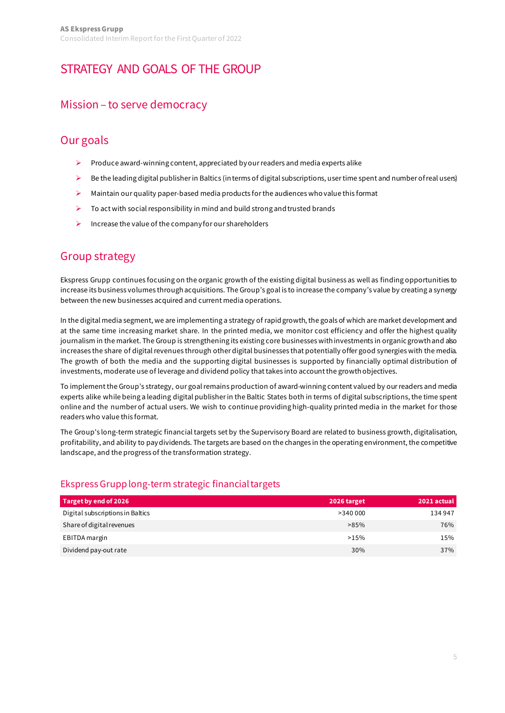## [STRATEGY AND GOALS OF THE GROUP](#page-1-0)

### Mission – to serve democracy

### Our goals

- $\triangleright$  Produce award-winning content, appreciated by our readers and media experts alike
- $\triangleright$  Be the leading digital publisher in Baltics (in terms of digital subscriptions, user time spent and number of real users)
- $\triangleright$  Maintain our quality paper-based media products for the audiences who value this format
- $\triangleright$  To act with social responsibility in mind and build strong and trusted brands
- $\triangleright$  Increase the value of the company for our shareholders

### Group strategy

Ekspress Grupp continues focusing on the organic growth of the existing digital business as well as finding opportunities to increase its business volumes through acquisitions. The Group's goal is to increase the company's value by creating a synergy between the new businesses acquired and current media operations.

In the digital media segment, we are implementing a strategy of rapid growth, the goals of which are market development and at the same time increasing market share. In the printed media, we monitor cost efficiency and offer the highest quality journalism in the market. The Group is strengthening its existing core businesses with investments in organic growth and also increases the share of digital revenues through other digital businesses that potentially offer good synergies with the media. The growth of both the media and the supporting digital businesses is supported by financially optimal distribution of investments, moderate use of leverage and dividend policy that takes into accountthe growth objectives.

To implement the Group's strategy, our goal remains production of award-winning content valued by our readers and media experts alike while being a leading digital publisher in the Baltic States both in terms of digital subscriptions,the time spent online and the number of actual users. We wish to continue providing high-quality printed media in the market for those readers who value this format.

The Group's long-term strategic financial targets set by the Supervisory Board are related to business growth, digitalisation, profitability, and ability to pay dividends. The targets are based on the changes in the operating environment, the competitive landscape, and the progress of the transformation strategy.

### Ekspress Grupp long-term strategic financial targets

| Target by end of 2026            | 2026 target | 2021 actual |
|----------------------------------|-------------|-------------|
| Digital subscriptions in Baltics | >340000     | 134 947     |
| Share of digital revenues        | $>85\%$     | 76%         |
| EBITDA margin                    | >15%        | 15%         |
| Dividend pay-out rate            | 30%         | 37%         |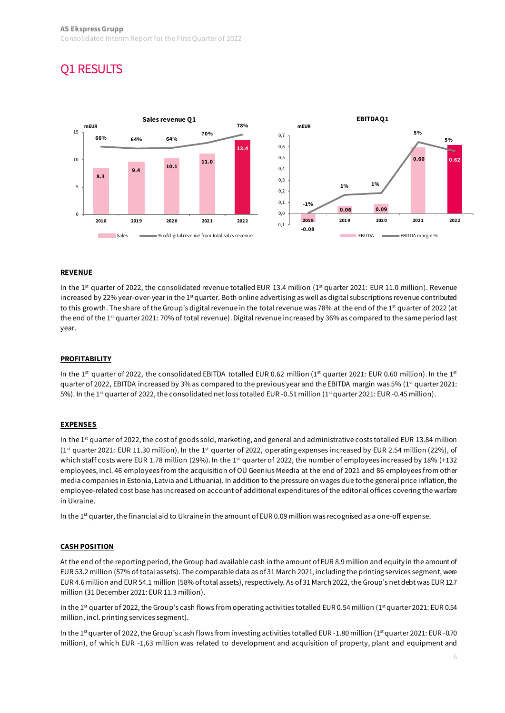## [Q1 RESULTS](#page-1-0)



#### **REVENUE**

In the 1<sup>st</sup> quarter of 2022, the consolidated revenue totalled EUR 13.4 million (1<sup>st</sup> quarter 2021: EUR 11.0 million). Revenue increased by 22% year-over-year in the 1<sup>st</sup> quarter. Both online advertising as well as digital subscriptions revenue contributed to this growth. The share of the Group's digital revenue in the total revenue was 78% at the end of the 1<sup>st</sup> quarter of 2022 (at the end of the 1<sup>st</sup> quarter 2021: 70% of total revenue). Digital revenue increased by 36% as compared to the same period last year.

#### **PROFITABILITY**

In the 1st quarter of 2022, the consolidated EBITDA totalled EUR 0.62 million (1st quarter 2021: EUR 0.60 million). In the 1st quarter of 2022, EBITDA increased by 3% as compared to the previous year and the EBITDA margin was 5% (1<sup>st</sup> quarter 2021: 5%). In the 1<sup>st</sup> quarter of 2022, the consolidated net loss totalled EUR -0.51 million (1<sup>st</sup> quarter 2021: EUR -0.45 million).

#### **EXPENSES**

In the 1<sup>st</sup> quarter of 2022, the cost of goods sold, marketing, and general and administrative costs totalled EUR 13.84 million (1st quarter 2021: EUR 11.30 million). In the 1st quarter of 2022, operating expenses increased by EUR 2.54 million (22%), of which staff costs were EUR 1.78 million (29%). In the 1<sup>st</sup> quarter of 2022, the number of employees increased by 18% (+132 employees, incl. 46 employees from the acquisition of OÜ Geenius Meedia at the end of 2021 and 86 employees from other media companies in Estonia, Latvia and Lithuania). In addition to the pressure on wages due tothe general price inflation, the employee-related cost base has increased on account of additional expenditures of the editorial offices covering the warfare in Ukraine.

In the 1<sup>st</sup> quarter, the financial aid to Ukraine in the amount of EUR 0.09 million was recognised as a one-off expense.

#### **CASH POSITION**

At the end of the reporting period, the Group had available cash in the amount of EUR 8.9 million and equity in the amount of EUR 53.2 million (57% of total assets). The comparable data as of 31 March 2021, including the printing services segment, were EUR 4.6 million and EUR 54.1 million (58% of total assets), respectively. As of 31 March 2022, the Group's net debt was EUR 12.7 million (31 December 2021: EUR 11.3 million).

In the 1<sup>st</sup> quarter of 2022, the Group's cash flows from operating activities totalled EUR 0.54 million (1<sup>st</sup> quarter 2021: EUR 0.54 million, incl. printing services segment).

In the 1<sup>st</sup> quarter of 2022, the Group's cash flows from investing activities totalled EUR -1.80 million (1<sup>st</sup> quarter 2021: EUR -0.70 million), of which EUR -1,63 million was related to development and acquisition of property, plant and equipment and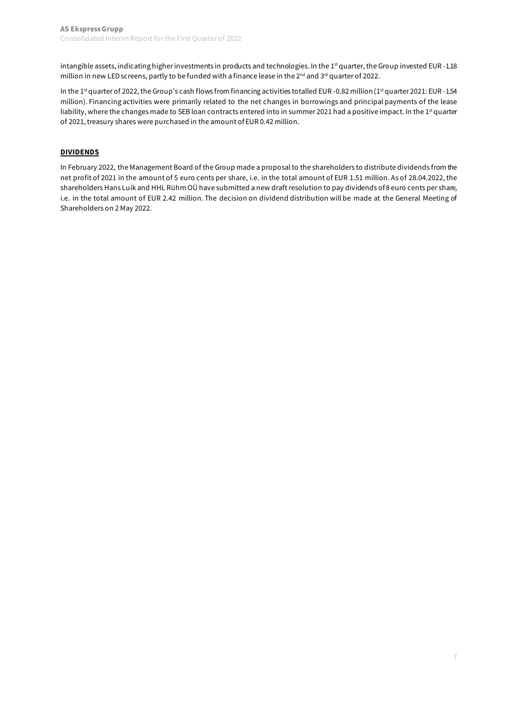intangible assets, indicating higher investments in products and technologies. In the 1<sup>st</sup> quarter, the Group invested EUR -1.18 million in new LED screens, partly to be funded with a finance lease in the 2<sup>nd</sup> and 3<sup>rd</sup> quarter of 2022.

In the 1<sup>st</sup> quarter of 2022, the Group's cash flows from financing activities totalled EUR -0.82 million (1<sup>st</sup> quarter 2021: EUR -1.54 million). Financing activities were primarily related to the net changes in borrowings and principal payments of the lease liability, where the changes made to SEB loan contracts entered into in summer 2021 had a positive impact. In the 1<sup>st</sup> quarter of 2021, treasury shares were purchased in the amount of EUR 0.42 million.

### **DIVIDENDS**

In February 2022, the Management Board of the Group made a proposal to the shareholders to distribute dividends from the net profit of 2021 in the amount of 5 euro cents per share, i.e. in the total amount of EUR 1.51 million. As of 28.04.2022, the shareholders Hans Luik and HHL Rühm OÜ have submitted a new draft resolution to pay dividends of 8 euro cents per share, i.e. in the total amount of EUR 2.42 million. The decision on dividend distribution will be made at the General Meeting of Shareholders on 2 May 2022.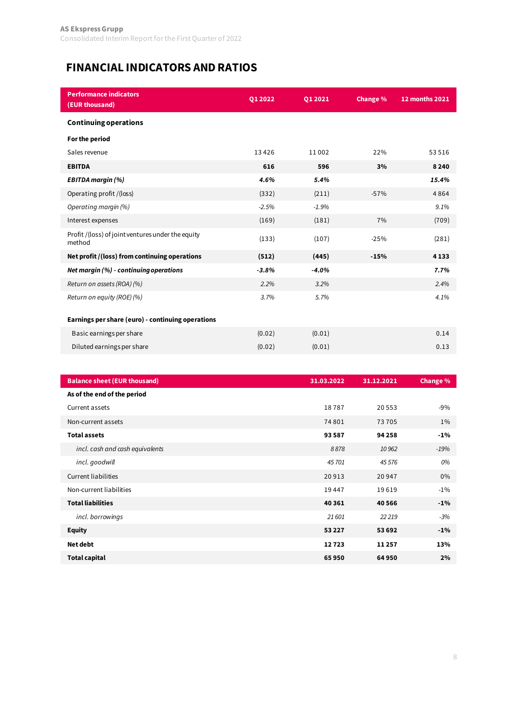## **FINANCIAL INDICATORS AND RATIOS**

| <b>Performance indicators</b><br>(EUR thousand)             | Q1 2022 | Q1 2021 | Change % | <b>12 months 2021</b> |
|-------------------------------------------------------------|---------|---------|----------|-----------------------|
| <b>Continuing operations</b>                                |         |         |          |                       |
| For the period                                              |         |         |          |                       |
| Sales revenue                                               | 13426   | 11002   | 22%      | 53516                 |
| <b>EBITDA</b>                                               | 616     | 596     | 3%       | 8240                  |
| <b>EBITDA margin (%)</b>                                    | 4.6%    | 5.4%    |          | 15.4%                 |
| Operating profit /(loss)                                    | (332)   | (211)   | $-57%$   | 4864                  |
| Operating margin (%)                                        | $-2.5%$ | $-1.9%$ |          | 9.1%                  |
| Interest expenses                                           | (169)   | (181)   | 7%       | (709)                 |
| Profit /(loss) of joint ventures under the equity<br>method | (133)   | (107)   | $-25%$   | (281)                 |
| Net profit /(loss) from continuing operations               | (512)   | (445)   | $-15%$   | 4133                  |
| Net margin (%) - continuing operations                      | $-3.8%$ | $-4.0%$ |          | 7.7%                  |
| Return on assets (ROA) (%)                                  | 2.2%    | 3.2%    |          | 2.4%                  |
| Return on equity (ROE) (%)                                  | 3.7%    | 5.7%    |          | 4.1%                  |
| Earnings per share (euro) - continuing operations           |         |         |          |                       |
| Basic earnings per share                                    | (0.02)  | (0.01)  |          | 0.14                  |
| Diluted earnings per share                                  | (0.02)  | (0.01)  |          | 0.13                  |

| <b>Balance sheet (EUR thousand)</b> | 31.03.2022 | 31.12.2021 | Change % |
|-------------------------------------|------------|------------|----------|
| As of the end of the period         |            |            |          |
| Current assets                      | 18787      | 20553      | $-9%$    |
| Non-current assets                  | 74 801     | 73 705     | $1\%$    |
| <b>Total assets</b>                 | 93587      | 94 258     | $-1\%$   |
| incl. cash and cash equivalents     | 8878       | 10 962     | $-19%$   |
| incl. goodwill                      | 45 701     | 45576      | 0%       |
| <b>Current liabilities</b>          | 20913      | 20 947     | $0\%$    |
| Non-current liabilities             | 19447      | 19619      | $-1\%$   |
| <b>Total liabilities</b>            | 40 361     | 40 5 66    | $-1\%$   |
| incl. borrowings                    | 21 601     | 22219      | $-3%$    |
| <b>Equity</b>                       | 53 2 2 7   | 53 692     | $-1\%$   |
| Net debt                            | 12723      | 11257      | 13%      |
| <b>Total capital</b>                | 65950      | 64950      | 2%       |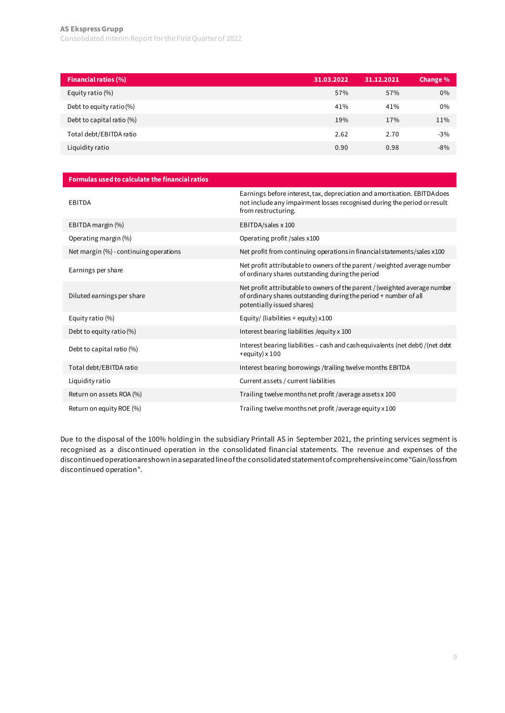### **AS Ekspress Grupp**  [Consolidated Interim Report for the First Quarter of 2022](#page-1-0)

| <b>Financial ratios (%)</b> | 31.03.2022 | 31.12.2021 | Change % |
|-----------------------------|------------|------------|----------|
| Equity ratio (%)            | 57%        | 57%        | $0\%$    |
| Debt to equity ratio (%)    | 41%        | 41%        | 0%       |
| Debt to capital ratio (%)   | 19%        | 17%        | 11%      |
| Total debt/EBITDA ratio     | 2.62       | 2.70       | $-3%$    |
| Liquidity ratio             | 0.90       | 0.98       | $-8%$    |
|                             |            |            |          |

| Formulas used to calculate the financial ratios |                                                                                                                                                                              |
|-------------------------------------------------|------------------------------------------------------------------------------------------------------------------------------------------------------------------------------|
| EBITDA                                          | Earnings before interest, tax, depreciation and amortisation. EBITDA does<br>not include any impairment losses recognised during the period or result<br>from restructuring. |
| EBITDA margin (%)                               | EBITDA/sales x 100                                                                                                                                                           |
| Operating margin (%)                            | Operating profit / sales x100                                                                                                                                                |
| Net margin (%) - continuing operations          | Net profit from continuing operations in financial statements/sales x100                                                                                                     |
| Earnings per share                              | Net profit attributable to owners of the parent / weighted average number<br>of ordinary shares outstanding during the period                                                |
| Diluted earnings per share                      | Net profit attributable to owners of the parent / (weighted average number<br>of ordinary shares outstanding during the period + number of all<br>potentially issued shares) |
| Equity ratio (%)                                | Equity/ (liabilities + equity) $x100$                                                                                                                                        |
| Debt to equity ratio (%)                        | Interest bearing liabilities / equity x 100                                                                                                                                  |
| Debt to capital ratio (%)                       | Interest bearing liabilities - cash and cash equivalents (net debt) /(net debt<br>$+$ equity) x 100                                                                          |
| Total debt/EBITDA ratio                         | Interest bearing borrowings /trailing twelve months EBITDA                                                                                                                   |
| Liquidity ratio                                 | Current assets / current liabilities                                                                                                                                         |
| Return on assets ROA (%)                        | Trailing twelve months net profit / average assets x 100                                                                                                                     |
| Return on equity ROE (%)                        | Trailing twelve months net profit /average equity x 100                                                                                                                      |

Due to the disposal of the 100% holding in the subsidiary Printall AS in September 2021, the printing services segment is recognised as a discontinued operation in the consolidated financial statements. The revenue and expenses of the discontinued operation areshown in a separated line of the consolidated statement of comprehensive income "Gain/loss from discontinued operation".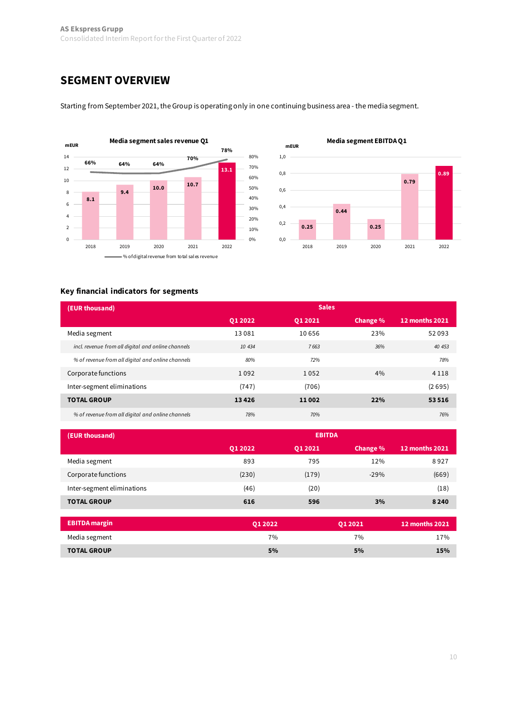### **SEGMENT OVERVIEW**



Starting from September 2021, the Group is operating only in one continuing business area - the media segment.



### **Key financial indicators for segments**

| (EUR thousand)                                     |         |          | <b>Sales</b> |                       |
|----------------------------------------------------|---------|----------|--------------|-----------------------|
|                                                    | 01 2022 | 01 20 21 | Change %     | <b>12 months 2021</b> |
| Media segment                                      | 13081   | 10656    | 23%          | 52093                 |
| incl. revenue from all digital and online channels | 10 434  | 7663     | 36%          | 40 453                |
| % of revenue from all digital and online channels  | 80%     | 72%      |              | 78%                   |
| Corporate functions                                | 1092    | 1052     | 4%           | 4 1 1 8               |
| Inter-segment eliminations                         | (747)   | (706)    |              | (2695)                |
| <b>TOTAL GROUP</b>                                 | 13426   | 11002    | 22%          | 53516                 |
| % of revenue from all digital and online channels  | 78%     | 70%      |              | 76%                   |

| (EUR thousand)             | <b>EBITDA</b> |          |          |                       |
|----------------------------|---------------|----------|----------|-----------------------|
|                            | 01 20 22      | 01 20 21 | Change % | <b>12 months 2021</b> |
| Media segment              | 893           | 795      | 12%      | 8927                  |
| Corporate functions        | (230)         | (179)    | $-29%$   | (669)                 |
| Inter-segment eliminations | (46)          | (20)     |          | (18)                  |
| <b>TOTAL GROUP</b>         | 616           | 596      | 3%       | 8 2 4 0               |

| <b>EBITDA</b> margin | 01 20 22 | 01 2021 | 12 months 2021 |
|----------------------|----------|---------|----------------|
| Media segment        | 7%       | 7%      | 17%            |
| <b>TOTAL GROUP</b>   | 5%       | 5%      | 15%            |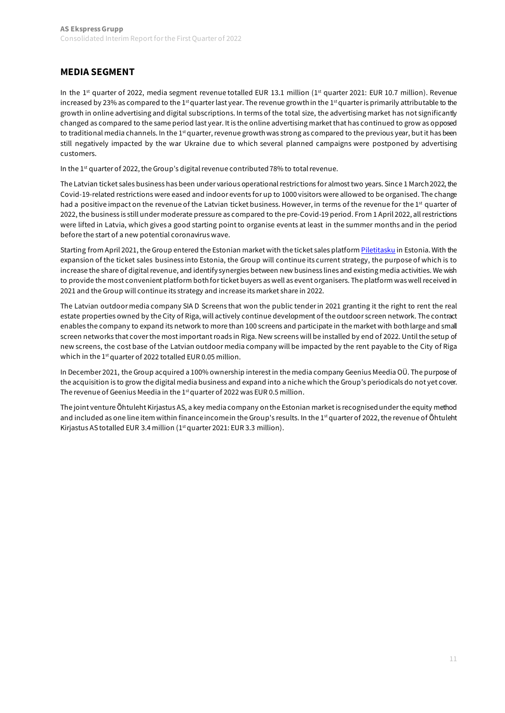### **MEDIA SEGMENT**

In the 1<sup>st</sup> quarter of 2022, media segment revenue totalled EUR 13.1 million (1<sup>st</sup> quarter 2021: EUR 10.7 million). Revenue increased by 23% as compared to the 1<sup>st</sup> quarter last year. The revenue growth in the 1<sup>st</sup> quarter is primarily attributable to the growth in online advertising and digital subscriptions. In terms of the total size, the advertising market has not significantly changed as compared to the same period last year. It is the online advertising market that has continued to grow as opposed to traditional media channels. In the 1<sup>st</sup> quarter, revenue growth was strong as compared to the previous year, but it has been still negatively impacted by the war Ukraine due to which several planned campaigns were postponed by advertising customers.

In the 1<sup>st</sup> quarter of 2022, the Group's digital revenue contributed 78% to total revenue.

The Latvian ticket sales business has been under various operational restrictions for almost two years. Since 1 March 2022, the Covid-19-related restrictions were eased and indoor events for up to 1000 visitors were allowed to be organised. The change had a positive impact on the revenue of the Latvian ticket business. However, in terms of the revenue for the 1<sup>st</sup> quarter of 2022, the business is still under moderate pressure as compared to the pre-Covid-19 period. From 1 April 2022, all restrictions were lifted in Latvia, which gives a good starting point to organise events at least in the summer months and in the period before the start of a new potential coronavirus wave.

Starting from April 2021, the Group entered the Estonian market with the ticket sales platfor[m Piletitasku](https://www.piletitasku.ee/et/) in Estonia. With the expansion of the ticket sales business into Estonia, the Group will continue its current strategy, the purpose of which is to increase the share of digital revenue, and identify synergies between new business lines and existing media activities. We wish to provide the most convenient platform both for ticket buyers as well as event organisers. The platform was well received in 2021 and the Group will continue its strategy and increase its market share in 2022.

The Latvian outdoor media company SIA D Screens that won the public tender in 2021 granting it the right to rent the real estate properties owned by the City of Riga, will actively continue development of the outdoor screen network. The contract enables the company to expand its network to more than 100 screens and participate in the market with both large and small screen networks that cover the most important roads in Riga. New screens will be installed by end of 2022. Until the setup of new screens, the cost base of the Latvian outdoor media company will be impacted by the rent payable to the City of Riga which in the  $1<sup>st</sup>$  quarter of 2022 totalled EUR 0.05 million.

In December 2021, the Group acquired a 100% ownership interest in the media company Geenius Meedia OÜ. The purpose of the acquisition is to grow the digital media business and expand into a niche which the Group's periodicals do not yet cover. The revenue of Geenius Meedia in the  $1<sup>st</sup>$  quarter of 2022 was EUR 0.5 million.

The joint venture Õhtuleht Kirjastus AS, a key media company on the Estonian market is recognised under the equity method and included as one line item within finance income in the Group's results. In the 1<sup>st</sup> quarter of 2022, the revenue of Õhtuleht Kirjastus AS totalled EUR 3.4 million (1<sup>st</sup> quarter 2021: EUR 3.3 million).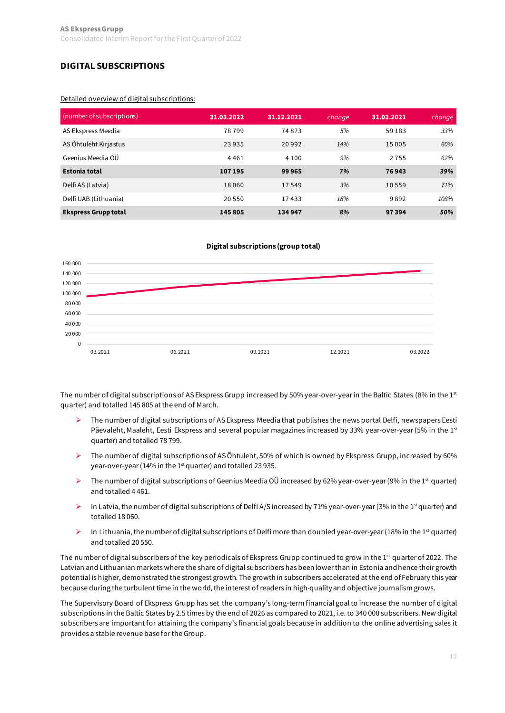### **DIGITAL SUBSCRIPTIONS**

#### Detailed overview of digital subscriptions:

| (number of subscriptions)   | 31.03.2022 | 31.12.2021 | change | 31.03.2021 | change |
|-----------------------------|------------|------------|--------|------------|--------|
| AS Ekspress Meedia          | 78799      | 74873      | 5%     | 59 183     | 33%    |
| AS Õhtuleht Kirjastus       | 23 9 35    | 20 9 9 2   | 14%    | 15 005     | 60%    |
| Geenius Meedia OÜ           | 4461       | 4 1 0 0    | 9%     | 2755       | 62%    |
| <b>Estonia total</b>        | 107 195    | 99965      | 7%     | 76943      | 39%    |
| Delfi AS (Latvia)           | 18060      | 17549      | 3%     | 10559      | 71%    |
| Delfi UAB (Lithuania)       | 20 550     | 17433      | 18%    | 9892       | 108%   |
| <b>Ekspress Grupp total</b> | 145 805    | 134 947    | 8%     | 97394      | 50%    |

#### **Digital subscriptions (group total)**



The number of digital subscriptions of AS Ekspress Grupp increased by 50% year-over-year in the Baltic States (8% in the 1st quarter) and totalled 145 805 at the end of March.

- The number of digital subscriptions of AS Ekspress Meedia that publishes the news portal Delfi, newspapers Eesti Päevaleht, Maaleht, Eesti Ekspress and several popular magazines increased by 33% year-over-year (5% in the 1st quarter) and totalled 78 799.
- $\triangleright$  The number of digital subscriptions of AS Õhtuleht, 50% of which is owned by Ekspress Grupp, increased by 60% year-over-year (14% in the 1<sup>st</sup> quarter) and totalled 23 935.
- The number of digital subscriptions of Geenius Meedia OÜ increased by 62% year-over-year (9% in the 1st quarter) and totalled 4 461.
- In Latvia, the number of digital subscriptions of Delfi A/S increased by 71% year-over-year (3% in the 1<sup>st</sup> quarter) and totalled 18 060.
- In Lithuania, the number of digital subscriptions of Delfi more than doubled year-over-year (18% in the 1st quarter) and totalled 20 550.

The number of digital subscribers of the key periodicals of Ekspress Grupp continued to grow in the 1<sup>st</sup> quarter of 2022. The Latvian and Lithuanian markets where the share of digital subscribers has been lower than in Estonia and hence their growth potential is higher, demonstrated the strongest growth. The growth in subscribers accelerated at the end of February this year because during the turbulent time in the world, the interest of readers in high-quality and objective journalism grows.

The Supervisory Board of Ekspress Grupp has set the company's long-term financial goal to increase the number of digital subscriptions in the Baltic States by 2.5 times by the end of 2026 as compared to 2021, i.e. to 340 000 subscribers. New digital subscribers are important for attaining the company's financial goals because in addition to the online advertising sales it provides a stable revenue base for the Group.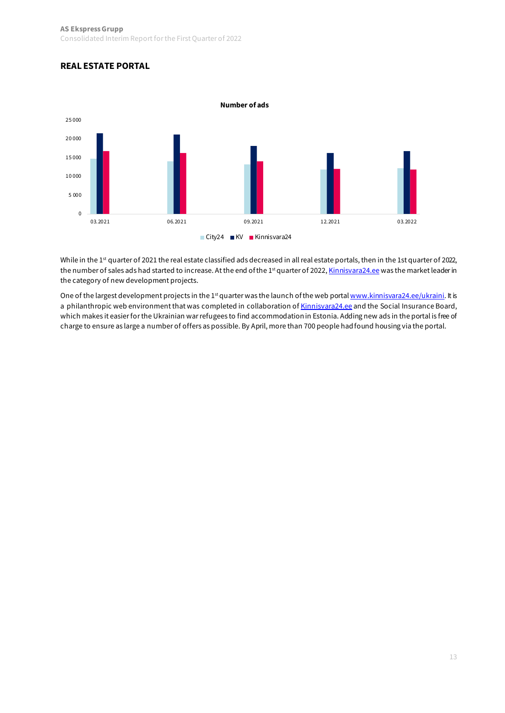### **REAL ESTATE PORTAL**



While in the 1<sup>st</sup> quarter of 2021 the real estate classified ads decreased in all real estate portals, then in the 1st quarter of 2022, the number of sales ads had started to increase. At the end of the 1st quarter of 202[2, Kinnisvara24.ee](https://kinnisvara24.delfi.ee/) was the market leader in the category of new development projects.

One of the largest development projects in the 1<sup>st</sup> quarter was the launch of the web port[al www.kinnisvara24.ee/ukraini](http://www.kinnisvara24.ee/ukraini). It is a philanthropic web environment that was completed in collaboration o[f Kinnisvara24.ee](https://kinnisvara24.delfi.ee/) and the Social Insurance Board, which makes it easier for the Ukrainian war refugees to find accommodation in Estonia. Adding new ads in the portal is free of charge to ensure as large a number of offers as possible. By April, more than 700 people had found housing via the portal.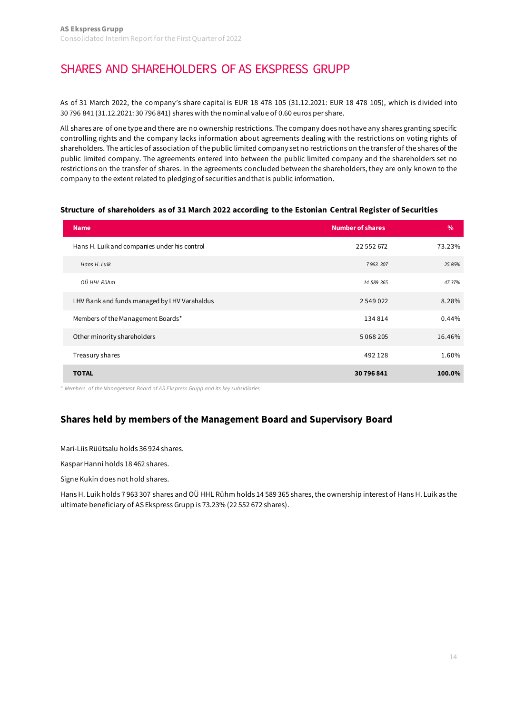## [SHARES AND SHAREHOLDERS OF AS EKSPRESS GRUPP](#page-1-0)

As of 31 March 2022, the company's share capital is EUR 18 478 105 (31.12.2021: EUR 18 478 105), which is divided into 30 796 841 (31.12.2021: 30 796 841) shares with the nominal value of 0.60 euros per share.

All shares are of one type and there are no ownership restrictions. The company does not have any shares granting specific controlling rights and the company lacks information about agreements dealing with the restrictions on voting rights of shareholders. The articles of association of the public limited company set no restrictions on the transfer of the shares of the public limited company. The agreements entered into between the public limited company and the shareholders set no restrictions on the transfer of shares. In the agreements concluded between the shareholders, they are only known to the company to the extent related to pledging of securities and that is public information.

#### **Structure of shareholders as of 31 March 2022 according to the Estonian Central Register of Securities**

| <b>Name</b>                                  | <b>Number of shares</b> | $\frac{0}{0}$ |
|----------------------------------------------|-------------------------|---------------|
| Hans H. Luik and companies under his control | 22 552 672              | 73.23%        |
| Hans H. Luik                                 | 7963 307                | 25.86%        |
| OÜ HHL Rühm                                  | 14 589 365              | 47.37%        |
| LHV Bank and funds managed by LHV Varahaldus | 2 549 022               | 8.28%         |
| Members of the Management Boards*            | 134814                  | 0.44%         |
| Other minority shareholders                  | 5 0 6 8 2 0 5           | 16.46%        |
| Treasury shares                              | 492128                  | 1.60%         |
| <b>TOTAL</b>                                 | 30 796 841              | 100.0%        |

*\* Members of the Management Board of AS Ekspress Grupp and its key subsidiaries*

### **Shares held by members of the Management Board and Supervisory Board**

Mari-Liis Rüütsalu holds 36 924 shares.

Kaspar Hanni holds 18 462 shares.

Signe Kukin does not hold shares.

Hans H. Luik holds 7 963 307 shares and OÜ HHL Rühm holds 14 589 365 shares, the ownership interest of Hans H. Luik as the ultimate beneficiary of AS Ekspress Grupp is 73.23% (22 552 672 shares).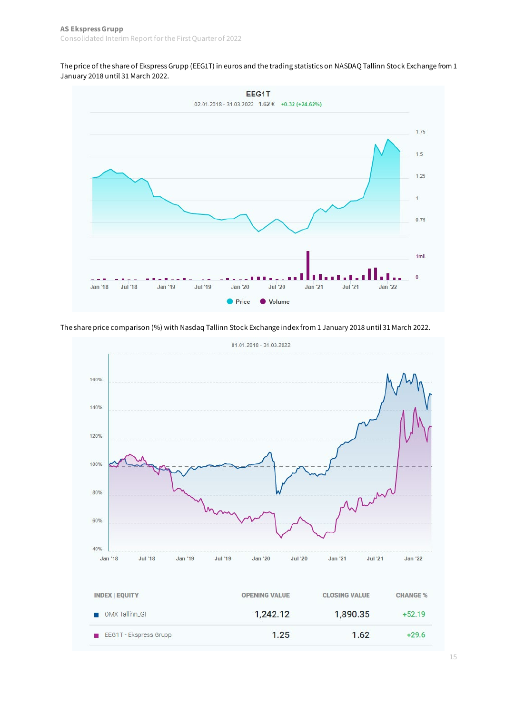The price of the share of Ekspress Grupp (EEG1T) in euros and the trading statistics on NASDAQ Tallinn Stock Exchange from 1 January 2018 until 31 March 2022.



The share price comparison (%) with Nasdaq Tallinn Stock Exchange index from 1 January 2018 until 31 March 2022.

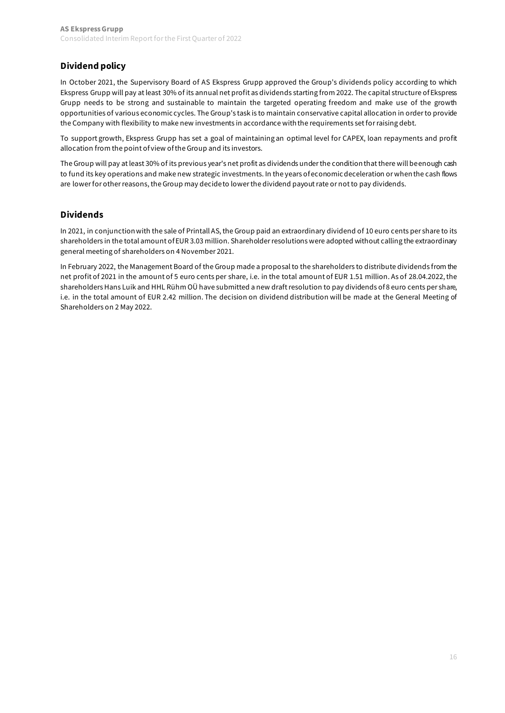### **Dividend policy**

In October 2021, the Supervisory Board of AS Ekspress Grupp approved the Group's dividends policy according to which Ekspress Grupp will pay at least 30% of its annual net profit as dividends starting from 2022. The capital structure of Ekspress Grupp needs to be strong and sustainable to maintain the targeted operating freedom and make use of the growth opportunities of various economic cycles. The Group's task is to maintain conservative capital allocation in order to provide the Company with flexibility to make new investments in accordance with the requirements set for raising debt.

To support growth, Ekspress Grupp has set a goal of maintaining an optimal level for CAPEX, loan repayments and profit allocation from the point of view of the Group and its investors.

The Group will pay at least 30% of its previous year's net profit as dividends under the condition that there will be enough cash to fund its key operations and make new strategic investments. In the years of economic deceleration or when the cash flows are lower for other reasons, the Group may decide to lower the dividend payout rate or not to pay dividends.

### **Dividends**

In 2021, in conjunction with the sale of Printall AS, the Group paid an extraordinary dividend of 10 euro cents per share to its shareholders in the total amount of EUR 3.03 million. Shareholder resolutions were adopted without calling the extraordinary general meeting of shareholders on 4 November 2021.

In February 2022, the Management Board of the Group made a proposal to the shareholders to distribute dividends from the net profit of 2021 in the amount of 5 euro cents per share, i.e. in the total amount of EUR 1.51 million. As of 28.04.2022, the shareholders Hans Luik and HHL Rühm OÜ have submitted a new draft resolution to pay dividends of 8 euro cents per share, i.e. in the total amount of EUR 2.42 million. The decision on dividend distribution will be made at the General Meeting of Shareholders on 2 May 2022.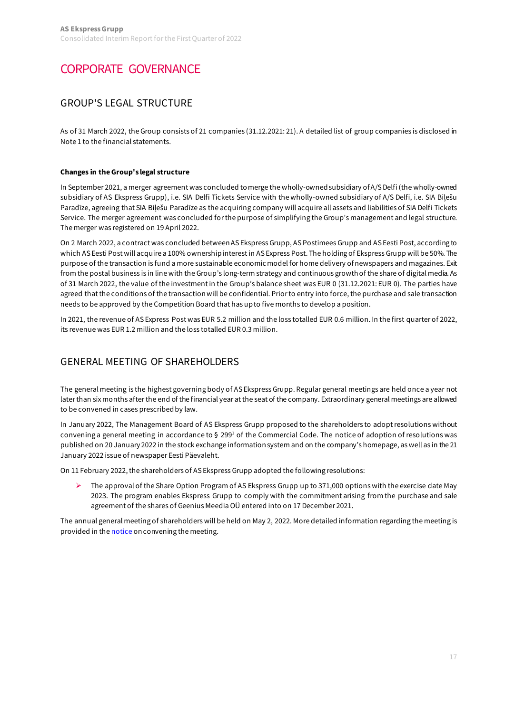## [CORPORATE GOVERNANCE](#page-1-0)

### GROUP'S LEGAL STRUCTURE

As of 31 March 2022, the Group consists of 21 companies (31.12.2021: 21). A detailed list of group companies is disclosed in Note 1 to the financial statements.

#### **Changes in the Group's legal structure**

In September 2021, a merger agreement was concluded to merge the wholly-owned subsidiary of A/S Delfi (the wholly-owned subsidiary of AS Ekspress Grupp), i.e. SIA Delfi Tickets Service with the wholly-owned subsidiary of A/S Delfi, i.e. SIA Biļešu Paradīze, agreeing that SIA Biļešu Paradīze as the acquiring company will acquire all assets and liabilities of SIA Delfi Tickets Service. The merger agreement was concluded for the purpose of simplifying the Group's management and legal structure. The merger was registered on 19 April 2022.

On 2 March 2022, a contract was concluded between AS Ekspress Grupp, AS Postimees Grupp and AS Eesti Post, according to which AS Eesti Post will acquire a 100% ownership interest in AS Express Post. The holding of Ekspress Grupp will be 50%. The purpose of the transaction is fund a more sustainable economic model for home delivery of newspapers and magazines. Exit from the postal business is in line with the Group's long-term strategy and continuous growth of the share of digital media. As of 31 March 2022, the value of the investment in the Group's balance sheet was EUR 0 (31.12.2021: EUR 0). The parties have agreed that the conditions of the transaction will be confidential. Prior to entry into force, the purchase and sale transaction needs to be approved by the Competition Board that has up to five months to develop a position.

In 2021, the revenue of AS Express Post was EUR 5.2 million and the loss totalled EUR 0.6 million. In the first quarter of 2022, its revenue was EUR 1.2 million and the loss totalled EUR 0.3 million.

### GENERAL MEETING OF SHAREHOLDERS

The general meeting is the highest governing body of AS Ekspress Grupp. Regular general meetings are held once a year not later than six months after the end of the financial year at the seat of the company. Extraordinary general meetings are allowed to be convened in cases prescribed by law.

In January 2022, The Management Board of AS Ekspress Grupp proposed to the shareholders to adopt resolutions without convening a general meeting in accordance to § 299<sup>1</sup> of the Commercial Code. The notice of adoption of resolutions was published on 20 January 2022 in the stock exchange information system and on the company's homepage, as well as in the 21 January 2022 issue of newspaper Eesti Päevaleht.

On 11 February 2022, the shareholders of AS Ekspress Grupp adopted the following resolutions:

 The approval of the Share Option Program of AS Ekspress Grupp up to 371,000 options with the exercise date May 2023. The program enables Ekspress Grupp to comply with the commitment arising from the purchase and sale agreement of the shares of Geenius Meedia OÜ entered into on 17 December 2021.

The annual general meeting of shareholders will be held on May 2, 2022. More detailed information regarding the meeting is provided in th[e notice](https://view.news.eu.nasdaq.com/view?id=b16c2a09f7bd8e175b7aead956b33569f&lang=en) on convening the meeting.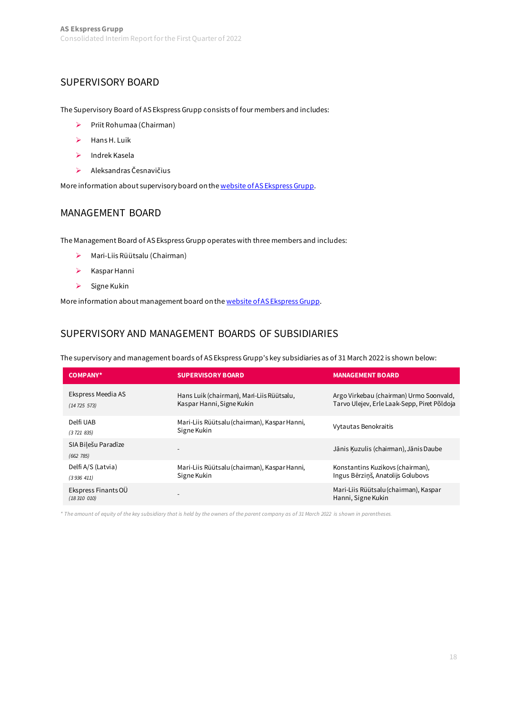### SUPERVISORY BOARD

The Supervisory Board of AS Ekspress Grupp consists of four members and includes:

- Priit Rohumaa (Chairman)
- $\triangleright$  Hans H. Luik
- $\blacktriangleright$  Indrek Kasela
- Aleksandras Česnavičius

More information about supervisory board on th[e website of AS Ekspress Grupp.](https://egrupp.ee/en/about-group/management/supervisory-board/)

### MANAGEMENT BOARD

The Management Board of AS Ekspress Grupp operates with three members and includes:

- Mari-Liis Rüütsalu (Chairman)
- $\triangleright$  Kaspar Hanni
- $\triangleright$  Signe Kukin

More information about management board on th[e website of AS Ekspress Grupp](https://egrupp.ee/en/about-group/management/management-board/).

### SUPERVISORY AND MANAGEMENT BOARDS OF SUBSIDIARIES

The supervisory and management boards of AS Ekspress Grupp's key subsidiaries as of 31 March 2022 is shown below:

| <b>COMPANY*</b>                   | <b>SUPERVISORY BOARD</b>                                               | <b>MANAGEMENT BOARD</b>                                                                |
|-----------------------------------|------------------------------------------------------------------------|----------------------------------------------------------------------------------------|
| Ekspress Meedia AS<br>(14725573)  | Hans Luik (chairman), Mari-Liis Rüütsalu,<br>Kaspar Hanni, Signe Kukin | Argo Virkebau (chairman) Urmo Soonvald,<br>Tarvo Ulejev, Erle Laak-Sepp, Piret Põldoja |
| Delfi UAB<br>(3721835)            | Mari-Liis Rüütsalu (chairman), Kaspar Hanni,<br>Signe Kukin            | Vytautas Benokraitis                                                                   |
| SIA Bilešu Paradīze<br>(662 785)  |                                                                        | Jānis Kuzulis (chairman), Jānis Daube                                                  |
| Delfi A/S (Latvia)<br>(3936411)   | Mari-Liis Rüütsalu (chairman), Kaspar Hanni,<br>Signe Kukin            | Konstantins Kuzikovs (chairman),<br>Ingus Bērziņš, Anatolijs Golubovs                  |
| Ekspress Finants OÜ<br>(18310010) |                                                                        | Mari-Liis Rüütsalu (chairman), Kaspar<br>Hanni, Signe Kukin                            |

*\* The amount of equity of the key subsidiary that is held by the owners of the parent company as of 31 March 2022 is shown in parentheses.*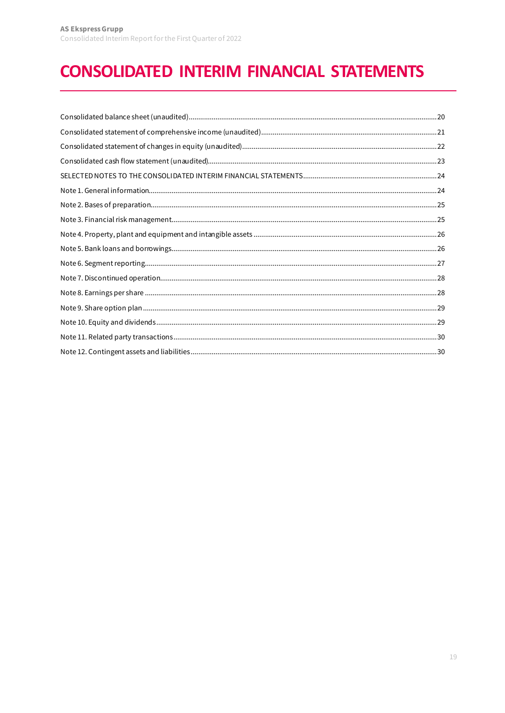# <span id="page-18-0"></span>**CONSOLIDATED INTERIM FINANCIAL STATEMENTS**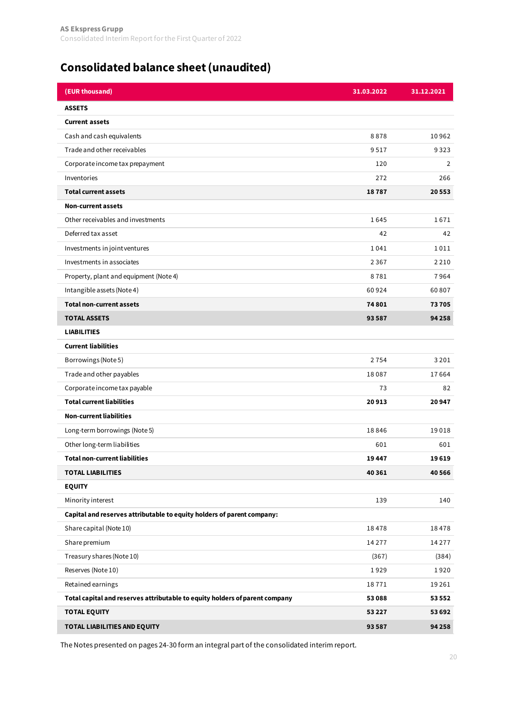## <span id="page-19-0"></span>**[Consolidated balance sheet \(unaudited\)](#page-18-0)**

| (EUR thousand)                                                              | 31.03.2022 | 31.12.2021 |
|-----------------------------------------------------------------------------|------------|------------|
| <b>ASSETS</b>                                                               |            |            |
| <b>Current assets</b>                                                       |            |            |
| Cash and cash equivalents                                                   | 8878       | 10962      |
| Trade and other receivables                                                 | 9517       | 9323       |
| Corporate income tax prepayment                                             | 120        | 2          |
| Inventories                                                                 | 272        | 266        |
| <b>Total current assets</b>                                                 | 18787      | 20553      |
| <b>Non-current assets</b>                                                   |            |            |
| Other receivables and investments                                           | 1645       | 1671       |
| Deferred tax asset                                                          | 42         | 42         |
| Investments in joint ventures                                               | 1041       | 1011       |
| Investments in associates                                                   | 2367       | 2 2 1 0    |
| Property, plant and equipment (Note 4)                                      | 8781       | 7964       |
| Intangible assets (Note 4)                                                  | 60924      | 60807      |
| <b>Total non-current assets</b>                                             | 74801      | 73705      |
| <b>TOTAL ASSETS</b>                                                         | 93587      | 94 258     |
| <b>LIABILITIES</b>                                                          |            |            |
| <b>Current liabilities</b>                                                  |            |            |
| Borrowings (Note 5)                                                         | 2754       | 3 2 0 1    |
| Trade and other payables                                                    | 18087      | 17664      |
| Corporate income tax payable                                                | 73         | 82         |
| <b>Total current liabilities</b>                                            | 20913      | 20947      |
| <b>Non-current liabilities</b>                                              |            |            |
| Long-term borrowings (Note 5)                                               | 18846      | 19018      |
| Other long-term liabilities                                                 | 601        | 601        |
| <b>Total non-current liabilities</b>                                        | 19447      | 19619      |
| <b>TOTAL LIABILITIES</b>                                                    | 40 361     | 40 5 66    |
| <b>EQUITY</b>                                                               |            |            |
| Minority interest                                                           | 139        | 140        |
| Capital and reserves attributable to equity holders of parent company:      |            |            |
| Share capital (Note 10)                                                     | 18478      | 18478      |
| Share premium                                                               | 14277      | 14277      |
| Treasury shares (Note 10)                                                   | (367)      | (384)      |
| Reserves (Note 10)                                                          | 1929       | 1920       |
| Retained earnings                                                           | 18771      | 19261      |
| Total capital and reserves attributable to equity holders of parent company | 53088      | 53 552     |
| <b>TOTAL EQUITY</b>                                                         | 53 2 2 7   | 53 692     |
| TOTAL LIABILITIES AND EQUITY                                                | 93 587     | 94 258     |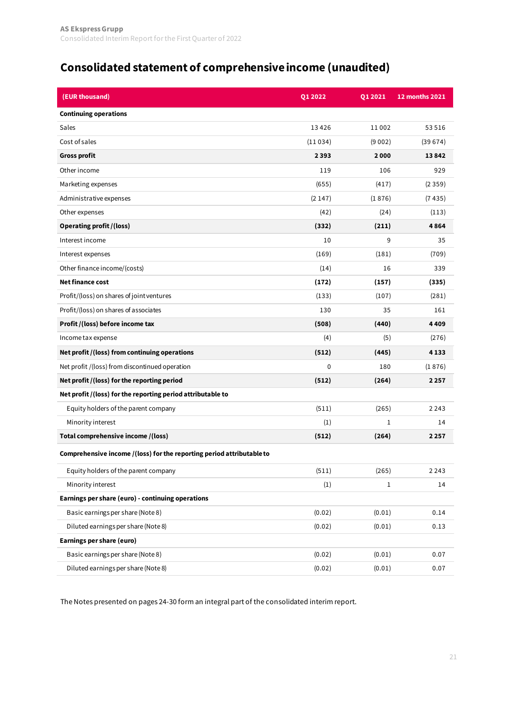## <span id="page-20-0"></span>**[Consolidated statement of comprehensive income \(unaudited\)](#page-18-0)**

| (EUR thousand)                                                        | Q1 2022 | Q1 2021     | <b>12 months 2021</b> |
|-----------------------------------------------------------------------|---------|-------------|-----------------------|
| <b>Continuing operations</b>                                          |         |             |                       |
| Sales                                                                 | 13426   | 11002       | 53516                 |
| Cost of sales                                                         | (11034) | (9002)      | (39674)               |
| <b>Gross profit</b>                                                   | 2393    | 2000        | 13842                 |
| Other income                                                          | 119     | 106         | 929                   |
| Marketing expenses                                                    | (655)   | (417)       | (2359)                |
| Administrative expenses                                               | (2147)  | (1876)      | (7435)                |
| Other expenses                                                        | (42)    | (24)        | (113)                 |
| <b>Operating profit / (loss)</b>                                      | (332)   | (211)       | 4864                  |
| Interest income                                                       | 10      | 9           | 35                    |
| Interest expenses                                                     | (169)   | (181)       | (709)                 |
| Other finance income/(costs)                                          | (14)    | 16          | 339                   |
| <b>Net finance cost</b>                                               | (172)   | (157)       | (335)                 |
| Profit/(loss) on shares of joint ventures                             | (133)   | (107)       | (281)                 |
| Profit/(loss) on shares of associates                                 | 130     | 35          | 161                   |
| Profit /(loss) before income tax                                      | (508)   | (440)       | 4409                  |
| Income tax expense                                                    | (4)     | (5)         | (276)                 |
| Net profit /(loss) from continuing operations                         | (512)   | (445)       | 4133                  |
| Net profit /(loss) from discontinued operation                        | 0       | 180         | (1876)                |
| Net profit /(loss) for the reporting period                           | (512)   | (264)       | 2257                  |
| Net profit /(loss) for the reporting period attributable to           |         |             |                       |
| Equity holders of the parent company                                  | (511)   | (265)       | 2 2 4 3               |
| Minority interest                                                     | (1)     | 1           | 14                    |
| Total comprehensive income /(loss)                                    | (512)   | (264)       | 2257                  |
| Comprehensive income /(loss) for the reporting period attributable to |         |             |                       |
| Equity holders of the parent company                                  | (511)   | (265)       | 2 2 4 3               |
| Minority interest                                                     | (1)     | $\mathbf 1$ | 14                    |
| Earnings per share (euro) - continuing operations                     |         |             |                       |
| Basic earnings per share (Note 8)                                     | (0.02)  | (0.01)      | 0.14                  |
| Diluted earnings per share (Note 8)                                   | (0.02)  | (0.01)      | 0.13                  |
| <b>Earnings per share (euro)</b>                                      |         |             |                       |
| Basic earnings per share (Note 8)                                     | (0.02)  | (0.01)      | 0.07                  |
| Diluted earnings per share (Note 8)                                   | (0.02)  | (0.01)      | 0.07                  |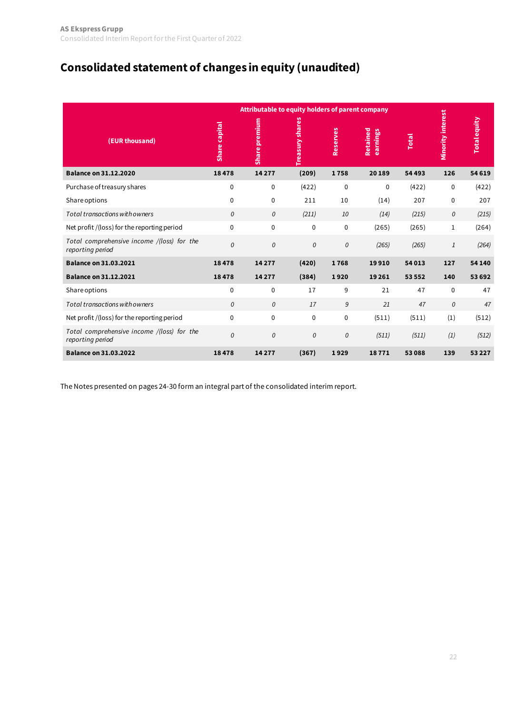## <span id="page-21-0"></span>**[Consolidated statement of changes in equity \(unaudited\)](#page-18-0)**

|                                                                | Attributable to equity holders of parent company |               |                        |               |                      |              |                          |                     |
|----------------------------------------------------------------|--------------------------------------------------|---------------|------------------------|---------------|----------------------|--------------|--------------------------|---------------------|
| (EUR thousand)                                                 | Share capital                                    | Share premium | <b>Treasury shares</b> | Reserves      | Retained<br>earnings | <b>Total</b> | <b>Minority interest</b> | <b>Total equity</b> |
| <b>Balance on 31.12.2020</b>                                   | 18478                                            | 14277         | (209)                  | 1758          | 20189                | 54 493       | 126                      | 54 619              |
| Purchase of treasury shares                                    | $\mathbf 0$                                      | $\mathbf{0}$  | (422)                  | $\mathbf{0}$  | $\mathbf 0$          | (422)        | $\mathbf 0$              | (422)               |
| Share options                                                  | $\mathbf 0$                                      | $\mathbf{0}$  | 211                    | 10            | (14)                 | 207          | $\mathbf 0$              | 207                 |
| Total transactions with owners                                 | 0                                                | 0             | (211)                  | 10            | (14)                 | (215)        | 0                        | (215)               |
| Net profit /(loss) for the reporting period                    | $\mathbf 0$                                      | $\mathbf{0}$  | $\mathbf{0}$           | $\mathbf 0$   | (265)                | (265)        | $\mathbf{1}$             | (264)               |
| Total comprehensive income /(loss) for the<br>reporting period | 0                                                | 0             | 0                      | $\mathcal{O}$ | (265)                | (265)        | 1                        | (264)               |
| <b>Balance on 31.03.2021</b>                                   | 18478                                            | 14277         | (420)                  | 1768          | 19910                | 54 013       | 127                      | 54 140              |
| <b>Balance on 31.12.2021</b>                                   | 18478                                            | 14 2 7 7      | (384)                  | 1920          | 19 2 61              | 53 552       | 140                      | 53 692              |
| <b>Share options</b>                                           | 0                                                | $\mathbf 0$   | 17                     | 9             | 21                   | 47           | $\mathbf 0$              | 47                  |
| Total transactions with owners                                 | 0                                                | 0             | 17                     | 9             | 21                   | 47           | 0                        | 47                  |
| Net profit /(loss) for the reporting period                    | $\Omega$                                         | $\mathbf 0$   | $\mathbf 0$            | 0             | (511)                | (511)        | (1)                      | (512)               |
| Total comprehensive income /(loss) for the<br>reporting period | 0                                                | 0             | 0                      | $\mathcal{O}$ | (511)                | (511)        | (1)                      | (512)               |
| <b>Balance on 31.03.2022</b>                                   | 18478                                            | 14 2 7 7      | (367)                  | 1929          | 18771                | 53088        | 139                      | 53 2 2 7            |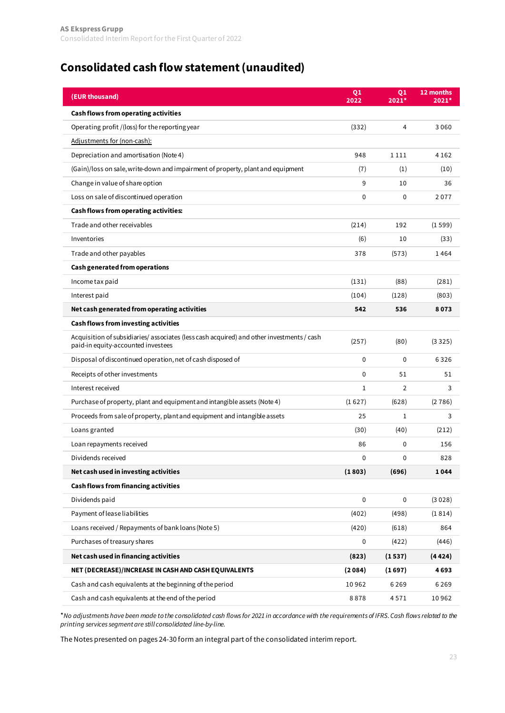## <span id="page-22-0"></span>**[Consolidated cash flow statement \(unaudited\)](#page-18-0)**

| (EUR thousand)                                                                                                                 | Q <sub>1</sub><br>2022 | Q1<br>$2021*$  | 12 months<br>$2021*$ |
|--------------------------------------------------------------------------------------------------------------------------------|------------------------|----------------|----------------------|
| Cash flows from operating activities                                                                                           |                        |                |                      |
| Operating profit / (loss) for the reporting year                                                                               | (332)                  | 4              | 3060                 |
| Adjustments for (non-cash):                                                                                                    |                        |                |                      |
| Depreciation and amortisation (Note 4)                                                                                         | 948                    | 1111           | 4 1 6 2              |
| (Gain)/loss on sale, write-down and impairment of property, plant and equipment                                                | (7)                    | (1)            | (10)                 |
| Change in value of share option                                                                                                | 9                      | 10             | 36                   |
| Loss on sale of discontinued operation                                                                                         | 0                      | $\mathbf 0$    | 2077                 |
| Cash flows from operating activities:                                                                                          |                        |                |                      |
| Trade and other receivables                                                                                                    | (214)                  | 192            | (1599)               |
| Inventories                                                                                                                    | (6)                    | 10             | (33)                 |
| Trade and other payables                                                                                                       | 378                    | (573)          | 1464                 |
| Cash generated from operations                                                                                                 |                        |                |                      |
| Income tax paid                                                                                                                | (131)                  | (88)           | (281)                |
| Interest paid                                                                                                                  | (104)                  | (128)          | (803)                |
| Net cash generated from operating activities                                                                                   | 542                    | 536            | 8073                 |
| <b>Cash flows from investing activities</b>                                                                                    |                        |                |                      |
| Acquisition of subsidiaries/associates (less cash acquired) and other investments / cash<br>paid-in equity-accounted investees | (257)                  | (80)           | (3325)               |
| Disposal of discontinued operation, net of cash disposed of                                                                    | 0                      | $\mathbf{0}$   | 6326                 |
| Receipts of other investments                                                                                                  | $\mathbf{0}$           | 51             | 51                   |
| Interest received                                                                                                              | $\mathbf{1}$           | $\overline{2}$ | 3                    |
| Purchase of property, plant and equipment and intangible assets (Note 4)                                                       | (1627)                 | (628)          | (2786)               |
| Proceeds from sale of property, plant and equipment and intangible assets                                                      | 25                     | 1              | 3                    |
| Loans granted                                                                                                                  | (30)                   | (40)           | (212)                |
| Loan repayments received                                                                                                       | 86                     | $\mathbf 0$    | 156                  |
| Dividends received                                                                                                             | 0                      | 0              | 828                  |
| Net cash used in investing activities                                                                                          | (1803)                 | (696)          | 1044                 |
| Cash flows from financing activities                                                                                           |                        |                |                      |
| Dividends paid                                                                                                                 | $\mathbf 0$            | $\pmb{0}$      | (3028)               |
| Payment of lease liabilities                                                                                                   | (402)                  | (498)          | (1814)               |
| Loans received / Repayments of bank loans (Note 5)                                                                             | (420)                  | (618)          | 864                  |
| Purchases of treasury shares                                                                                                   | 0                      | (422)          | (446)                |
| Net cash used in financing activities                                                                                          | (823)                  | (1537)         | (4424)               |
| NET (DECREASE)/INCREASE IN CASH AND CASH EQUIVALENTS                                                                           | (2084)                 | (1697)         | 4693                 |
| Cash and cash equivalents at the beginning of the period                                                                       | 10962                  | 6269           | 6269                 |
| Cash and cash equivalents at the end of the period                                                                             | 8878                   | 4571           | 10962                |

\**No adjustments have been made to the consolidated cash flows for 2021 in accordance with the requirements of IFRS. Cash flows related to the printing services segment are still consolidated line-by-line.*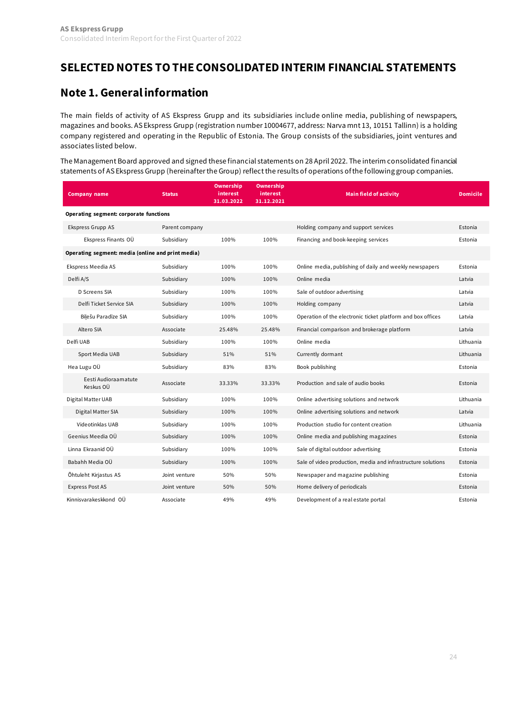### <span id="page-23-0"></span>**[SELECTED NOTES TO THE CONSOLIDATED INTERIM FINANCIAL STATEMENTS](#page-18-0)**

### **[Note 1. General information](#page-18-0)**

The main fields of activity of AS Ekspress Grupp and its subsidiaries include online media, publishing of newspapers, magazines and books. AS Ekspress Grupp (registration number 10004677, address: Narva mnt 13, 10151 Tallinn) is a holding company registered and operating in the Republic of Estonia. The Group consists of the subsidiaries, joint ventures and associates listed below.

The Management Board approved and signed these financial statements on 28 April 2022. The interim consolidated financial statements of AS Ekspress Grupp (hereinafter the Group) reflect the results of operations of the following group companies.

| <b>Company name</b>                               | <b>Status</b>  | <b>Ownership</b><br>interest<br>31.03.2022 | <b>Ownership</b><br><i>interest</i><br>31.12.2021 | <b>Main field of activity</b>                                | <b>Domicile</b> |
|---------------------------------------------------|----------------|--------------------------------------------|---------------------------------------------------|--------------------------------------------------------------|-----------------|
| Operating segment: corporate functions            |                |                                            |                                                   |                                                              |                 |
| Ekspress Grupp AS                                 | Parent company |                                            |                                                   | Holding company and support services                         | Estonia         |
| Ekspress Finants OÜ                               | Subsidiary     | 100%                                       | 100%                                              | Financing and book-keeping services                          | Estonia         |
| Operating segment: media (online and print media) |                |                                            |                                                   |                                                              |                 |
| Ekspress Meedia AS                                | Subsidiary     | 100%                                       | 100%                                              | Online media, publishing of daily and weekly newspapers      | Estonia         |
| Delfi A/S                                         | Subsidiary     | 100%                                       | 100%                                              | Online media                                                 | Latvia          |
| D Screens SIA                                     | Subsidiary     | 100%                                       | 100%                                              | Sale of outdoor advertising                                  | Latvia          |
| Delfi Ticket Service SIA                          | Subsidiary     | 100%                                       | 100%                                              | Holding company                                              | Latvia          |
| Bilešu Paradīze SIA                               | Subsidiary     | 100%                                       | 100%                                              | Operation of the electronic ticket platform and box offices  | Latvia          |
| Altero SIA                                        | Associate      | 25.48%                                     | 25.48%                                            | Financial comparison and brokerage platform                  | Latvia          |
| Delfi UAB                                         | Subsidiary     | 100%                                       | 100%                                              | Online media                                                 | Lithuania       |
| Sport Media UAB                                   | Subsidiary     | 51%                                        | 51%                                               | Currently dormant                                            | Lithuania       |
| Hea Lugu OÜ                                       | Subsidiary     | 83%                                        | 83%                                               | Book publishing                                              | Estonia         |
| Eesti Audioraamatute<br>Keskus OÜ                 | Associate      | 33.33%                                     | 33.33%                                            | Production and sale of audio books                           | Estonia         |
| Digital Matter UAB                                | Subsidiary     | 100%                                       | 100%                                              | Online advertising solutions and network                     | Lithuania       |
| Digital Matter SIA                                | Subsidiary     | 100%                                       | 100%                                              | Online advertising solutions and network                     | Latvia          |
| Videotinklas UAB                                  | Subsidiary     | 100%                                       | 100%                                              | Production studio for content creation                       | Lithuania       |
| Geenius Meedia OÜ                                 | Subsidiary     | 100%                                       | 100%                                              | Online media and publishing magazines                        | Estonia         |
| Linna Ekraanid OÜ                                 | Subsidiary     | 100%                                       | 100%                                              | Sale of digital outdoor advertising                          | Estonia         |
| Babahh Media OÜ                                   | Subsidiary     | 100%                                       | 100%                                              | Sale of video production, media and infrastructure solutions | Estonia         |
| Õhtuleht Kirjastus AS                             | Joint venture  | 50%                                        | 50%                                               | Newspaper and magazine publishing                            | Estonia         |
| <b>Express Post AS</b>                            | Joint venture  | 50%                                        | 50%                                               | Home delivery of periodicals                                 | Estonia         |
| Kinnisvarakeskkond OÜ                             | Associate      | 49%                                        | 49%                                               | Development of a real estate portal                          | Estonia         |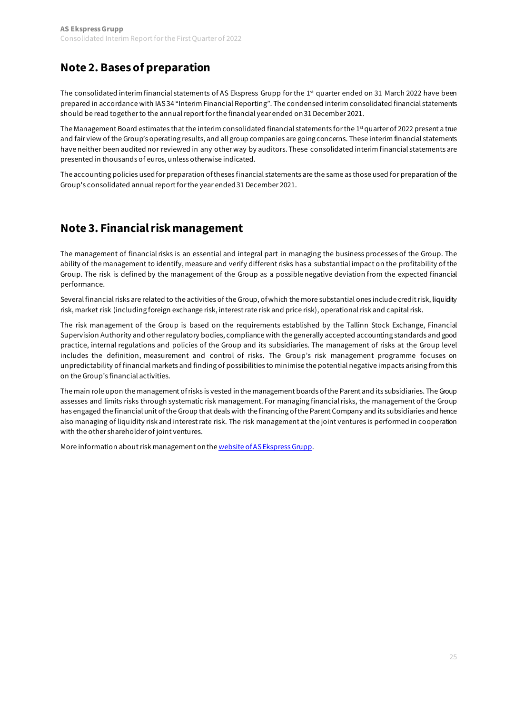## <span id="page-24-0"></span>**[Note 2. Bases of preparation](#page-18-0)**

The consolidated interim financial statements of AS Ekspress Grupp for the 1<sup>st</sup> quarter ended on 31 March 2022 have been prepared in accordance with IAS 34 "Interim Financial Reporting". The condensed interim consolidated financial statements should be read together to the annual report for the financial year ended on 31 December 2021.

The Management Board estimates that the interim consolidated financial statements for the  $1<sup>st</sup>$  quarter of 2022 present a true and fair view of the Group's operating results, and all group companies are going concerns. These interim financial statements have neither been audited nor reviewed in any other way by auditors. These consolidated interim financial statements are presented in thousands of euros, unless otherwise indicated.

The accounting policies used for preparation of theses financial statements are the same as those used for preparation of the Group's consolidated annual report for the year ended 31 December 2021.

### **[Note 3. Financial risk management](#page-18-0)**

The management of financial risks is an essential and integral part in managing the business processes of the Group. The ability of the management to identify, measure and verify different risks has a substantial impact on the profitability of the Group. The risk is defined by the management of the Group as a possible negative deviation from the expected financial performance.

Several financial risks are related to the activities of the Group, of which the more substantial ones include credit risk, liquidity risk, market risk (including foreign exchange risk, interest rate risk and price risk), operational risk and capital risk.

The risk management of the Group is based on the requirements established by the Tallinn Stock Exchange, Financial Supervision Authority and other regulatory bodies, compliance with the generally accepted accounting standards and good practice, internal regulations and policies of the Group and its subsidiaries. The management of risks at the Group level includes the definition, measurement and control of risks. The Group's risk management programme focuses on unpredictability of financial markets and finding of possibilities to minimise the potential negative impacts arising from this on the Group's financial activities.

The main role upon the management of risks is vested in the management boards of the Parent and its subsidiaries. The Group assesses and limits risks through systematic risk management. For managing financial risks, the management of the Group has engaged the financial unit of the Group that deals with the financing of the Parent Company and its subsidiaries and hence also managing of liquidity risk and interest rate risk. The risk management at the joint ventures is performed in cooperation with the other shareholder of joint ventures.

More information about risk management on th[e website of AS Ekspress Grupp](https://egrupp.ee/en/investors/financial-risk-management/).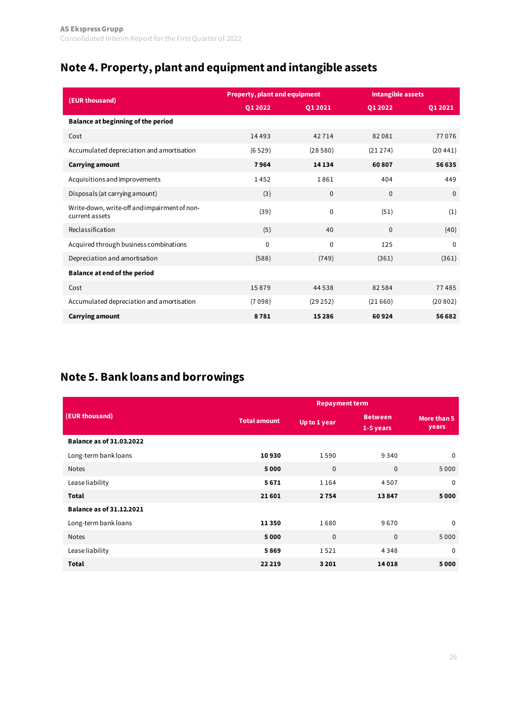## <span id="page-25-0"></span>**[Note 4. Property, plant and equipment and intangible assets](#page-18-0)**

| (EUR thousand)                                                 | <b>Property, plant and equipment</b> |              | <b>Intangible assets</b> |              |  |
|----------------------------------------------------------------|--------------------------------------|--------------|--------------------------|--------------|--|
|                                                                | Q1 2022                              | Q1 2021      | Q1 2022                  | Q1 2021      |  |
| <b>Balance at beginning of the period</b>                      |                                      |              |                          |              |  |
| Cost                                                           | 14 4 9 3                             | 42714        | 82081                    | 77076        |  |
| Accumulated depreciation and amortisation                      | (6529)                               | (28580)      | (21274)                  | (20441)      |  |
| <b>Carrying amount</b>                                         | 7964                                 | 14 134       | 60807                    | 56 635       |  |
| Acquisitions and improvements                                  | 1452                                 | 1861         | 404                      | 449          |  |
| Disposals (at carrying amount)                                 | (3)                                  | $\mathbf 0$  | $\Omega$                 | $\Omega$     |  |
| Write-down, write-off and impairment of non-<br>current assets | (39)                                 | $\mathbf 0$  | (51)                     | (1)          |  |
| Reclassification                                               | (5)                                  | 40           | $\mathbf{0}$             | (40)         |  |
| Acquired through business combinations                         | $\mathbf{0}$                         | $\mathbf{0}$ | 125                      | $\mathbf{0}$ |  |
| Depreciation and amortisation                                  | (588)                                | (749)        | (361)                    | (361)        |  |
| <b>Balance at end of the period</b>                            |                                      |              |                          |              |  |
| Cost                                                           | 15879                                | 44 5 38      | 82584                    | 77485        |  |
| Accumulated depreciation and amortisation                      | (7098)                               | (29252)      | (21660)                  | (20802)      |  |
| <b>Carrying amount</b>                                         | 8781                                 | 15286        | 60924                    | 56 682       |  |

## **[Note 5. Bank loans and borrowings](#page-18-0)**

|                                 | <b>Repayment term</b> |              |                               |                      |  |  |  |
|---------------------------------|-----------------------|--------------|-------------------------------|----------------------|--|--|--|
| (EUR thousand)                  | <b>Total amount</b>   | Up to 1 year | <b>Between</b><br>$1-5$ years | More than 5<br>years |  |  |  |
| <b>Balance as of 31.03.2022</b> |                       |              |                               |                      |  |  |  |
| Long-term bank loans            | 10930                 | 1590         | 9340                          | $\mathbf 0$          |  |  |  |
| <b>Notes</b>                    | 5000                  | $\mathbf{0}$ | $\mathbf{0}$                  | 5000                 |  |  |  |
| Lease liability                 | 5671                  | 1164         | 4507                          | $\mathbf{0}$         |  |  |  |
| <b>Total</b>                    | 21601                 | 2754         | 13847                         | 5000                 |  |  |  |
| Balance as of 31.12.2021        |                       |              |                               |                      |  |  |  |
| Long-term bank loans            | 11350                 | 1680         | 9670                          | $\mathbf{0}$         |  |  |  |
| <b>Notes</b>                    | 5000                  | $\mathbf{0}$ | $\mathbf{0}$                  | 5000                 |  |  |  |
| Lease liability                 | 5869                  | 1521         | 4348                          | $\mathbf{0}$         |  |  |  |
| <b>Total</b>                    | 22 2 19               | 3201         | 14 0 18                       | 5000                 |  |  |  |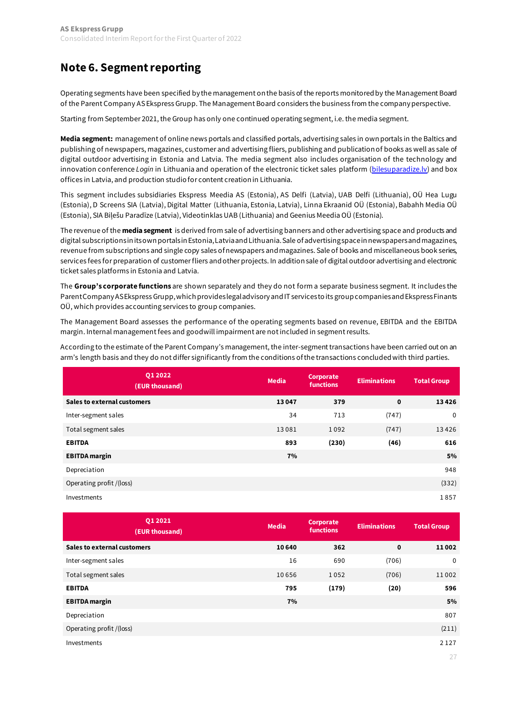## <span id="page-26-0"></span>**[Note 6. Segment reporting](#page-18-0)**

Operating segments have been specified by the management on the basis of the reports monitored by the Management Board of the Parent Company AS Ekspress Grupp. The Management Board considers the business from the company perspective.

Starting from September 2021, the Group has only one continued operating segment, i.e. the media segment.

**Media segment:** management of online news portals and classified portals, advertising sales in own portals in the Baltics and publishing of newspapers, magazines, customer and advertising fliers, publishing and publication of books as well as sale of digital outdoor advertising in Estonia and Latvia. The media segment also includes organisation of the technology and innovation conference *Login* in Lithuania and operation of the electronic ticket sales platform [\(bilesuparadize.lv](http://www.bilesuparadize.lv/)) and box offices in Latvia, and production studio for content creation in Lithuania.

This segment includes subsidiaries Ekspress Meedia AS (Estonia), AS Delfi (Latvia), UAB Delfi (Lithuania), OÜ Hea Lugu (Estonia), D Screens SIA (Latvia), Digital Matter (Lithuania, Estonia, Latvia), Linna Ekraanid OÜ (Estonia), Babahh Media OÜ (Estonia), SIA Biļešu Paradīze (Latvia), Videotinklas UAB (Lithuania) and Geenius Meedia OÜ (Estonia).

The revenue of the **media segment** is derived from sale of advertising banners and other advertising space and products and digital subscriptions in its own portalsin Estonia, Latvia and Lithuania. Sale of advertising space in newspapers and magazines, revenue from subscriptions and single copy sales of newspapers and magazines. Sale of books and miscellaneous book series, services fees for preparation of customer fliers and other projects. In additionsale of digital outdoor advertising and electronic ticket sales platforms in Estonia and Latvia.

The **Group's corporate functions** are shown separately and they do not form a separate business segment. It includes the Parent Company AS Ekspress Grupp, which provides legal advisory and IT services to its group companies and Ekspress Finants OÜ, which provides accounting services to group companies.

The Management Board assesses the performance of the operating segments based on revenue, EBITDA and the EBITDA margin. Internal management fees and goodwill impairment are not included in segment results.

According to the estimate of the Parent Company's management, the inter-segment transactions have been carried out on an arm's length basis and they do not differ significantly from the conditions of the transactions concluded with third parties.

| 01 20 22<br>(EUR thousand)         | Media | <b>Corporate</b><br><b>functions</b> | <b>Eliminations</b> | <b>Total Group</b> |
|------------------------------------|-------|--------------------------------------|---------------------|--------------------|
| <b>Sales to external customers</b> | 13047 | 379                                  | 0                   | 13426              |
| Inter-segment sales                | 34    | 713                                  | (747)               | $\mathbf 0$        |
| Total segment sales                | 13081 | 1092                                 | (747)               | 13426              |
| <b>EBITDA</b>                      | 893   | (230)                                | (46)                | 616                |
| <b>EBITDA</b> margin               | 7%    |                                      |                     | 5%                 |
| Depreciation                       |       |                                      |                     | 948                |
| Operating profit /(loss)           |       |                                      |                     | (332)              |
| Investments                        |       |                                      |                     | 1857               |

| 01 20 21<br>(EUR thousand)         | <b>Media</b> | <b>Corporate</b><br><b>functions</b> | <b>Eliminations</b> | <b>Total Group</b> |
|------------------------------------|--------------|--------------------------------------|---------------------|--------------------|
| <b>Sales to external customers</b> | 10 640       | 362                                  | $\mathbf 0$         | 11002              |
| Inter-segment sales                | 16           | 690                                  | (706)               | $\mathbf{0}$       |
| Total segment sales                | 10656        | 1052                                 | (706)               | 11 002             |
| <b>EBITDA</b>                      | 795          | (179)                                | (20)                | 596                |
| <b>EBITDA</b> margin               | 7%           |                                      |                     | 5%                 |
| Depreciation                       |              |                                      |                     | 807                |
| Operating profit /(loss)           |              |                                      |                     | (211)              |
| Investments                        |              |                                      |                     | 2 1 2 7            |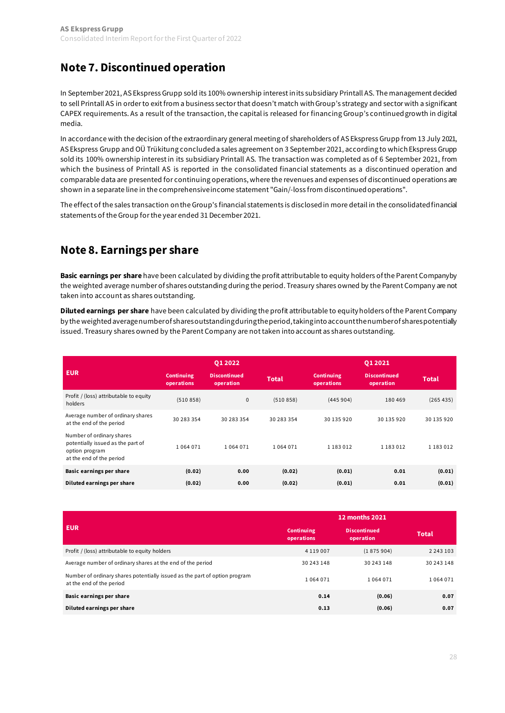## <span id="page-27-0"></span>**[Note 7. Discontinued operation](#page-18-0)**

In September 2021, AS Ekspress Grupp sold its 100% ownership interest in its subsidiary Printall AS. The management decided to sell Printall AS in order to exit from a business sector that doesn't match with Group's strategy and sector with a significant CAPEX requirements. As a result of the transaction, the capital is released for financing Group's continued growth in digital media.

In accordance with the decision ofthe extraordinary general meeting of shareholders of AS Ekspress Grupp from 13 July 2021, AS Ekspress Grupp and OÜ Trükitung concluded a sales agreement on 3 September 2021, according to which Ekspress Grupp sold its 100% ownership interest in its subsidiary Printall AS. The transaction was completed as of 6 September 2021, from which the business of Printall AS is reported in the consolidated financial statements as a discontinued operation and comparable data are presented for continuing operations, where the revenues and expenses of discontinued operations are shown in a separate line in the comprehensive income statement "Gain/-loss from discontinued operations".

The effect of the sales transaction on the Group's financial statements is disclosed in more detail in the consolidated financial statements of the Group for the year ended 31 December 2021.

### **[Note 8. Earnings per share](#page-18-0)**

**Basic earnings per share** have been calculated by dividing the profit attributable to equity holders of the Parent Company by the weighted average number of shares outstanding during the period. Treasury shares owned by the Parent Company are not taken into account as shares outstanding.

**Diluted earnings per share** have been calculated by dividing the profit attributable to equity holders of the Parent Company by the weighted average number of shares outstanding during the period, taking into account the number of shares potentially issued. Treasury shares owned by the Parent Company are not taken into account as shares outstanding.

|                                                                                                              |                                 | 01 2022                          |              |                                 | 01 2021                          |              |
|--------------------------------------------------------------------------------------------------------------|---------------------------------|----------------------------------|--------------|---------------------------------|----------------------------------|--------------|
| <b>EUR</b>                                                                                                   | <b>Continuing</b><br>operations | <b>Discontinued</b><br>operation | <b>Total</b> | <b>Continuing</b><br>operations | <b>Discontinued</b><br>operation | <b>Total</b> |
| Profit / (loss) attributable to equity<br>holders                                                            | (510858)                        | 0                                | (510858)     | (445904)                        | 180 469                          | (265435)     |
| Average number of ordinary shares<br>at the end of the period                                                | 30 283 354                      | 30 283 354                       | 30 283 354   | 30 135 920                      | 30 135 920                       | 30 135 920   |
| Number of ordinary shares<br>potentially issued as the part of<br>option program<br>at the end of the period | 1064071                         | 1064071                          | 1064071      | 1 183 0 12                      | 1 183 0 12                       | 1 183 0 12   |
| Basic earnings per share                                                                                     | (0.02)                          | 0.00                             | (0.02)       | (0.01)                          | 0.01                             | (0.01)       |
| Diluted earnings per share                                                                                   | (0.02)                          | 0.00                             | (0.02)       | (0.01)                          | 0.01                             | (0.01)       |

|                                                                                                        | <b>12 months 2021</b>           |                                  |               |  |  |  |
|--------------------------------------------------------------------------------------------------------|---------------------------------|----------------------------------|---------------|--|--|--|
| <b>EUR</b>                                                                                             | <b>Continuing</b><br>operations | <b>Discontinued</b><br>operation | <b>Total</b>  |  |  |  |
| Profit / (loss) attributable to equity holders                                                         | 4 1 1 9 0 0 7                   | (1875904)                        | 2 2 4 3 1 0 3 |  |  |  |
| Average number of ordinary shares at the end of the period                                             | 30 243 148                      | 30 243 148                       | 30 243 148    |  |  |  |
| Number of ordinary shares potentially issued as the part of option program<br>at the end of the period | 1064071                         | 1 0 6 4 0 7 1                    | 1064071       |  |  |  |
| <b>Basic earnings per share</b>                                                                        | 0.14                            | (0.06)                           | 0.07          |  |  |  |
| Diluted earnings per share                                                                             | 0.13                            | (0.06)                           | 0.07          |  |  |  |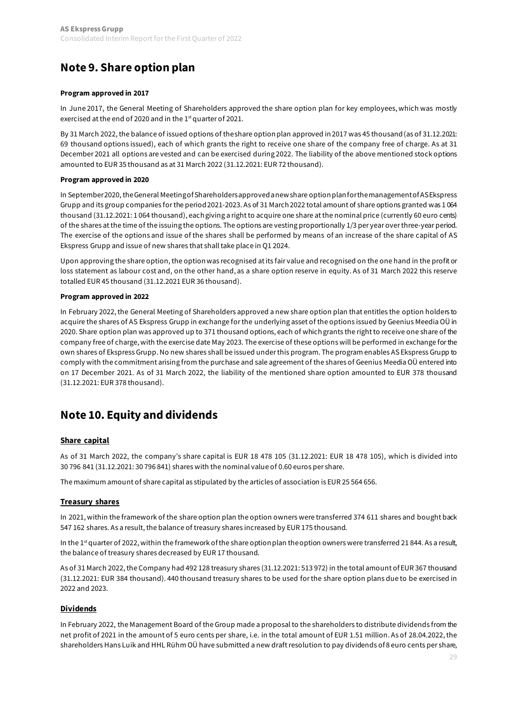## <span id="page-28-0"></span>**[Note 9. Share option plan](#page-18-0)**

#### **Program approved in 2017**

In June 2017, the General Meeting of Shareholders approved the share option plan for key employees, which was mostly exercised at the end of 2020 and in the 1<sup>st</sup> quarter of 2021.

By 31 March 2022, the balance of issued options of the share option plan approved in 2017 was 45 thousand (as of 31.12.2021: 69 thousand options issued), each of which grants the right to receive one share of the company free of charge. As at 31 December 2021 all options are vested and can be exercised during 2022. The liability of the above mentioned stock options amounted to EUR 35 thousand as at 31 March 2022 (31.12.2021: EUR 72 thousand).

### **Program approved in 2020**

In September 2020, the General Meeting of Shareholders approved a new share option plan for the management of AS Ekspress Grupp and its group companies for the period 2021-2023. As of 31 March 2022 total amount of share options granted was 1 064 thousand (31.12.2021: 1 064 thousand), each giving a right to acquire one share at the nominal price (currently 60 euro cents) of the shares at the time of the issuing the options. The options are vesting proportionally 1/3 per year over three-year period. The exercise of the options and issue of the shares shall be performed by means of an increase of the share capital of AS Ekspress Grupp and issue of new shares that shall take place in Q1 2024.

Upon approving the share option, the option was recognised at its fair value and recognised on the one hand in the profit or loss statement as labour cost and, on the other hand, as a share option reserve in equity. As of 31 March 2022 this reserve totalled EUR 45 thousand (31.12.2021 EUR 36 thousand).

### **Program approved in 2022**

In February 2022,the General Meeting of Shareholders approved a new share option plan that entitles the option holders to acquire the shares of AS Ekspress Grupp in exchange for the underlying asset of the options issued by Geenius Meedia OÜ in 2020. Share option plan was approved up to 371 thousand options, each of which grants the right to receive one share of the company free of charge, with the exercise date May 2023. The exercise of these options will be performed in exchange for the own shares of Ekspress Grupp. No new shares shall be issued under this program. The program enables AS Ekspress Grupp to comply with the commitment arising from the purchase and sale agreement of the shares of Geenius Meedia OÜ entered into on 17 December 2021. As of 31 March 2022, the liability of the mentioned share option amounted to EUR 378 thousand (31.12.2021: EUR 378 thousand).

## **[Note 10. Equity and dividends](#page-18-0)**

### **Share capital**

As of 31 March 2022, the company's share capital is EUR 18 478 105 (31.12.2021: EUR 18 478 105), which is divided into 30 796 841 (31.12.2021: 30 796 841) shares with the nominal value of 0.60 euros per share.

The maximum amount of share capital as stipulated by the articles of association is EUR 25 564 656.

### **Treasury shares**

In 2021, within the framework of the share option plan the option owners were transferred 374 611 shares and bought back 547 162 shares. As a result, the balance of treasury shares increased by EUR 175 thousand.

In the 1<sup>st</sup> quarter of 2022, within the framework of the share option plan the option owners were transferred 21 844. As a result, the balance of treasury shares decreased by EUR 17 thousand.

As of 31 March 2022, the Company had 492 128 treasury shares (31.12.2021: 513 972) in the total amount of EUR 367 thousand (31.12.2021: EUR 384 thousand). 440 thousand treasury shares to be used for the share option plans due to be exercised in 2022 and 2023.

### **Dividends**

In February 2022, the Management Board of the Group made a proposal to the shareholders to distribute dividends from the net profit of 2021 in the amount of 5 euro cents per share, i.e. in the total amount of EUR 1.51 million. As of 28.04.2022, the shareholders Hans Luik and HHL Rühm OÜ have submitted a new draft resolution to pay dividends of 8 euro cents per share,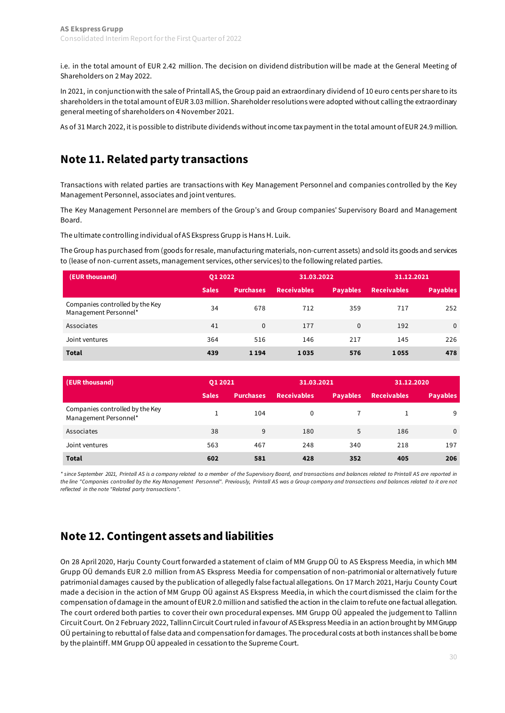<span id="page-29-0"></span>i.e. in the total amount of EUR 2.42 million. The decision on dividend distribution will be made at the General Meeting of Shareholders on 2 May 2022.

In 2021, in conjunction with the sale of Printall AS, the Group paid an extraordinary dividend of 10 euro cents per share to its shareholders in the total amount of EUR 3.03 million. Shareholder resolutions were adopted without calling the extraordinary general meeting of shareholders on 4 November 2021.

As of 31 March 2022, it is possible to distribute dividends without income tax payment in the total amount of EUR 24.9 million.

## **[Note 11. Related party transactions](#page-18-0)**

Transactions with related parties are transactions with Key Management Personnel and companies controlled by the Key Management Personnel, associates and joint ventures.

The Key Management Personnel are members of the Group's and Group companies' Supervisory Board and Management Board.

The ultimate controlling individual of AS Ekspress Grupp is Hans H. Luik.

The Group has purchased from (goods for resale, manufacturing materials, non-current assets) and sold its goods and services to (lease of non-current assets, management services, other services) to the following related parties.

| (EUR thousand)                                           | 01 20 22     |                  | 31.03.2022         |                 | 31.12.2021         |                 |
|----------------------------------------------------------|--------------|------------------|--------------------|-----------------|--------------------|-----------------|
|                                                          | <b>Sales</b> | <b>Purchases</b> | <b>Receivables</b> | <b>Payables</b> | <b>Receivables</b> | <b>Payables</b> |
| Companies controlled by the Key<br>Management Personnel* | 34           | 678              | 712                | 359             | 717                | 252             |
| Associates                                               | 41           | $\Omega$         | 177                | $\Omega$        | 192                | $\mathbf{0}$    |
| Joint ventures                                           | 364          | 516              | 146                | 217             | 145                | 226             |
| <b>Total</b>                                             | 439          | 1194             | 1035               | 576             | 1055               | 478             |

| (EUR thousand)                                           | 01 20 21     |                  | 31.03.2021         |                 | 31.12.2020         |                 |
|----------------------------------------------------------|--------------|------------------|--------------------|-----------------|--------------------|-----------------|
|                                                          | <b>Sales</b> | <b>Purchases</b> | <b>Receivables</b> | <b>Payables</b> | <b>Receivables</b> | <b>Payables</b> |
| Companies controlled by the Key<br>Management Personnel* |              | 104              | $\Omega$           |                 |                    | 9               |
| Associates                                               | 38           | 9                | 180                | 5               | 186                | $\mathbf{0}$    |
| Joint ventures                                           | 563          | 467              | 248                | 340             | 218                | 197             |
| <b>Total</b>                                             | 602          | 581              | 428                | 352             | 405                | 206             |

*\* since September 2021, Printall AS is a company related to a member of the Supervisory Board, and transactions and balances related to Printall AS are reported in the line "Companies controlled by the Key Management Personnel". Previously, Printall AS was a Group company and transactions and balances related to it are not reflected in the note "Related party transactions".*

## **[Note 12. Contingent assets and liabilities](#page-18-0)**

On 28 April 2020, Harju County Court forwarded a statement of claim of MM Grupp OÜ to AS Ekspress Meedia, in which MM Grupp OÜ demands EUR 2.0 million from AS Ekspress Meedia for compensation of non-patrimonial or alternatively future patrimonial damages caused by the publication of allegedly false factual allegations. On 17 March 2021, Harju County Court made a decision in the action of MM Grupp OÜ against AS Ekspress Meedia, in which the court dismissed the claim for the compensation of damage in the amount of EUR 2.0 million and satisfied the action in the claim to refute one factual allegation. The court ordered both parties to cover their own procedural expenses. MM Grupp OÜ appealed the judgement to Tallinn Circuit Court. On 2 February 2022, Tallinn Circuit Court ruled in favour of AS Ekspress Meedia in an action brought by MM Grupp OÜ pertaining to rebuttal of false data and compensation for damages. The procedural costs at both instances shall be borne by the plaintiff. MM Grupp OÜ appealed in cessation to the Supreme Court.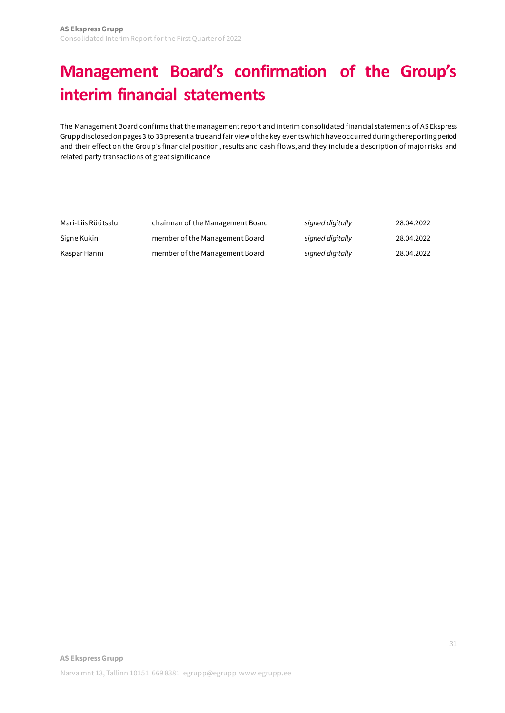# <span id="page-30-0"></span>**[Management Board's confirmation of the Group's](#page-1-0)  [interim financial statements](#page-1-0)**

The Management Board confirms that the management report and interim consolidated financial statements of AS Ekspress Grupp disclosed on pages 3 to 33present a true and fair view of the key events which have occurred during the reporting period and their effect on the Group's financial position, results and cash flows, and they include a description of major risks and related party transactions of great significance.

| Mari-Liis Rüütsalu | chairman of the Management Board | signed digitally | 28.04.2022 |
|--------------------|----------------------------------|------------------|------------|
| Signe Kukin        | member of the Management Board   | signed digitally | 28.04.2022 |
| Kaspar Hanni       | member of the Management Board   | signed digitally | 28.04.2022 |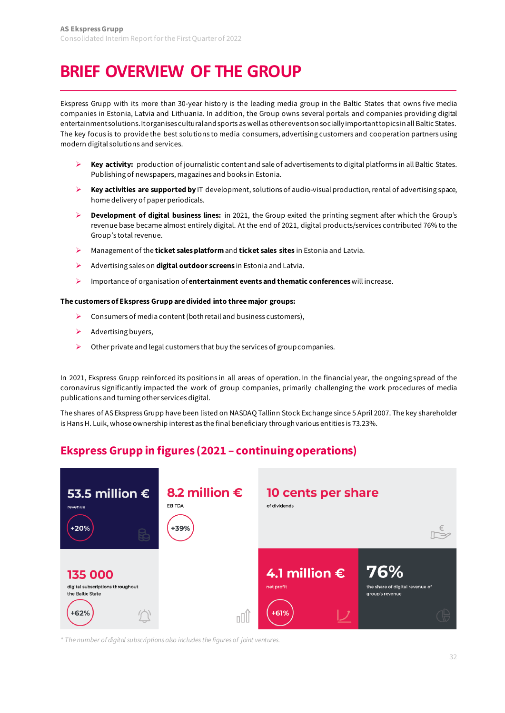# <span id="page-31-0"></span>**[BRIEF OVERVIEW OF THE GROUP](#page-1-0)**

Ekspress Grupp with its more than 30-year history is the leading media group in the Baltic States that owns five media companies in Estonia, Latvia and Lithuania. In addition, the Group owns several portals and companies providing digital entertainment solutions. It organises cultural and sports as well as other events on socially important topics in all Baltic States. The key focus is to provide the best solutions to media consumers, advertising customers and cooperation partners using modern digital solutions and services.

- **Key activity:** production of journalistic content and sale of advertisements to digital platforms in all Baltic States. Publishing of newspapers, magazines and books in Estonia.
- **Key activities are supported by** IT development, solutions of audio-visual production, rental of advertising space, home delivery of paper periodicals.
- **Development of digital business lines:** in 2021, the Group exited the printing segment after which the Group's revenue base became almost entirely digital. At the end of 2021, digital products/services contributed 76% to the Group's total revenue.
- Management of the **ticket sales platform**and **ticket sales sites** in Estonia and Latvia.
- Advertising sales on **digital outdoor screens** in Estonia and Latvia.
- Importance of organisation of**entertainment events and thematic conferences**will increase.

#### **The customers of Ekspress Grupp are divided into three major groups:**

- $\triangleright$  Consumers of media content (both retail and business customers),
- $\triangleright$  Advertising buyers,
- $\triangleright$  Other private and legal customers that buy the services of group companies.

In 2021, Ekspress Grupp reinforced its positions in all areas of operation. In the financial year, the ongoing spread of the coronavirus significantly impacted the work of group companies, primarily challenging the work procedures of media publications and turning other services digital.

The shares of AS Ekspress Grupp have been listed on NASDAQ Tallinn Stock Exchange since 5 April 2007. The key shareholder is Hans H. Luik, whose ownership interest as the final beneficiary through various entities is 73.23%.

## **Ekspress Grupp in figures (2021 – continuing operations)**



*\* The number of digital subscriptions also includes the figures of joint ventures.*